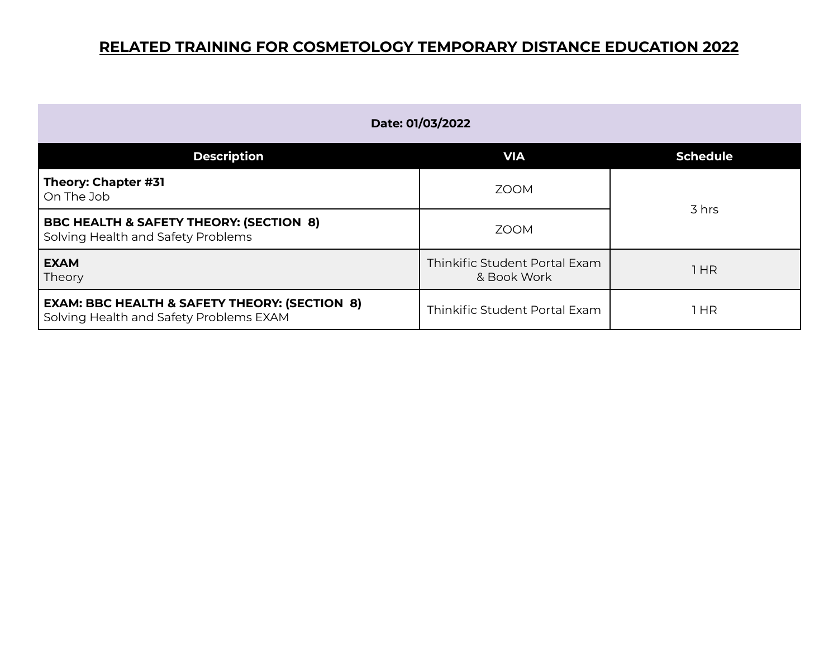| Date: 01/03/2022                                                                                    |                                              |                 |
|-----------------------------------------------------------------------------------------------------|----------------------------------------------|-----------------|
| <b>Description</b>                                                                                  | <b>VIA</b>                                   | <b>Schedule</b> |
| Theory: Chapter #31<br>On The Job                                                                   | <b>ZOOM</b>                                  |                 |
| <b>BBC HEALTH &amp; SAFETY THEORY: (SECTION 8)</b><br>Solving Health and Safety Problems            | <b>ZOOM</b>                                  | 3 hrs           |
| <b>EXAM</b><br>Theory                                                                               | Thinkific Student Portal Exam<br>& Book Work | 1HR             |
| <b>EXAM: BBC HEALTH &amp; SAFETY THEORY: (SECTION 8)</b><br>Solving Health and Safety Problems EXAM | Thinkific Student Portal Exam                | 1 HR            |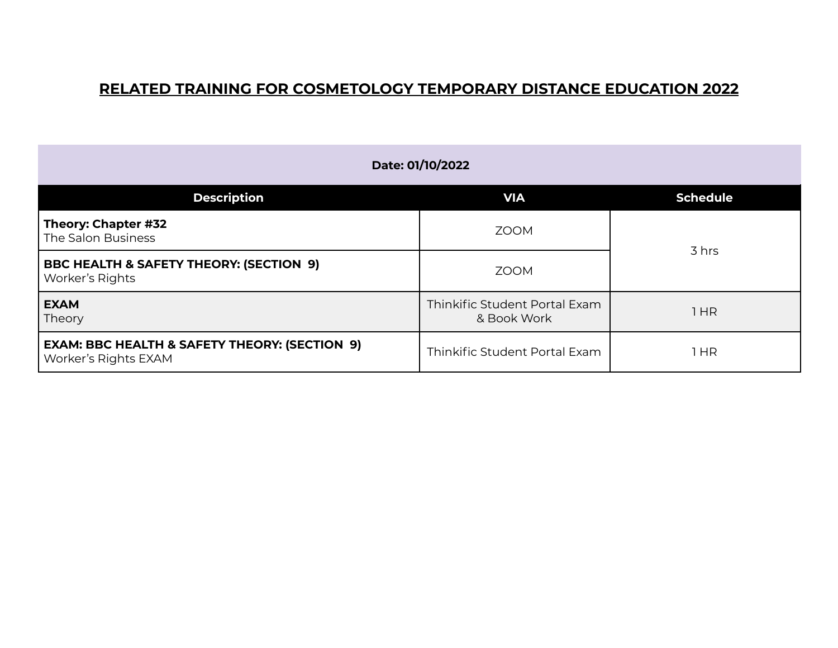| Date: 01/10/2022                                                                 |                                              |                 |
|----------------------------------------------------------------------------------|----------------------------------------------|-----------------|
| <b>Description</b>                                                               | <b>VIA</b>                                   | <b>Schedule</b> |
| Theory: Chapter #32<br>The Salon Business                                        | <b>ZOOM</b>                                  |                 |
| <b>BBC HEALTH &amp; SAFETY THEORY: (SECTION 9)</b><br>Worker's Rights            | <b>ZOOM</b>                                  | 3 hrs           |
| <b>EXAM</b><br>Theory                                                            | Thinkific Student Portal Exam<br>& Book Work | 1HR             |
| <b>EXAM: BBC HEALTH &amp; SAFETY THEORY: (SECTION 9)</b><br>Worker's Rights EXAM | Thinkific Student Portal Exam                | 1 HR            |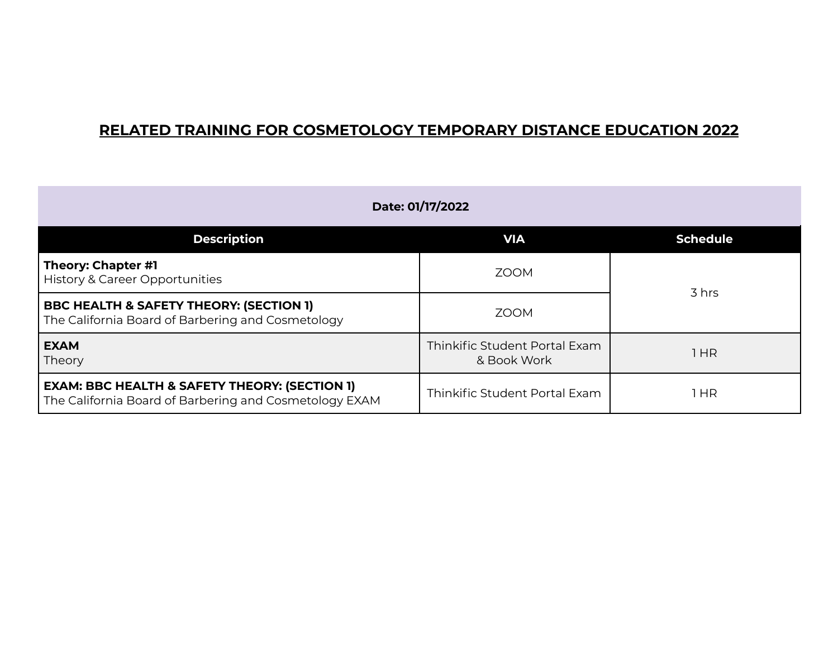| Date: 01/17/2022                                                                                                   |                                              |                 |
|--------------------------------------------------------------------------------------------------------------------|----------------------------------------------|-----------------|
| <b>Description</b>                                                                                                 | <b>VIA</b>                                   | <b>Schedule</b> |
| Theory: Chapter #1<br>History & Career Opportunities                                                               | <b>ZOOM</b>                                  | 3 hrs           |
| <b>BBC HEALTH &amp; SAFETY THEORY: (SECTION 1)</b><br>The California Board of Barbering and Cosmetology            | <b>ZOOM</b>                                  |                 |
| <b>EXAM</b><br>Theory                                                                                              | Thinkific Student Portal Exam<br>& Book Work | 1 HR            |
| <b>EXAM: BBC HEALTH &amp; SAFETY THEORY: (SECTION 1)</b><br>The California Board of Barbering and Cosmetology EXAM | Thinkific Student Portal Exam                | 1 HR            |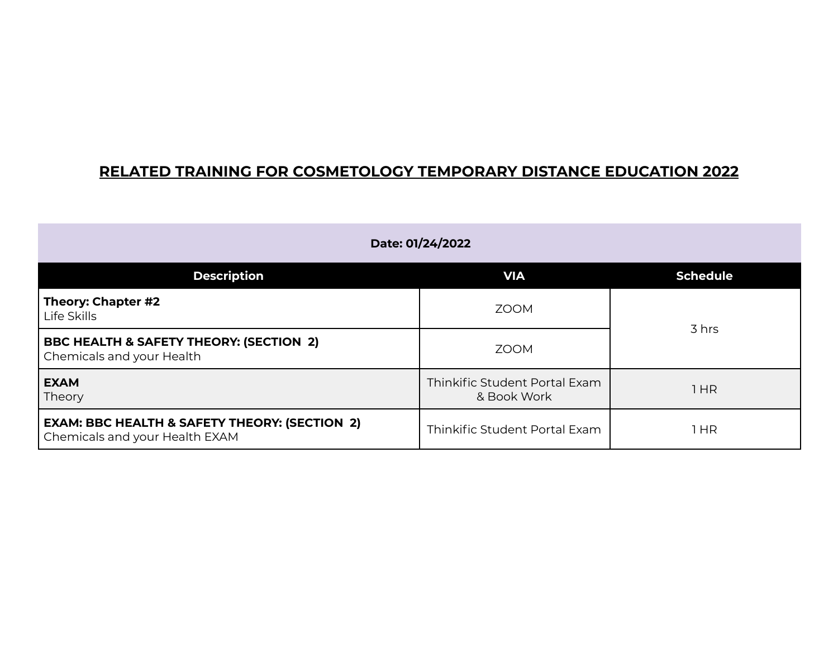| Date: 01/24/2022                                                                           |                                              |                 |
|--------------------------------------------------------------------------------------------|----------------------------------------------|-----------------|
| <b>Description</b>                                                                         | <b>VIA</b>                                   | <b>Schedule</b> |
| Theory: Chapter #2<br>Life Skills                                                          | <b>ZOOM</b>                                  |                 |
| <b>BBC HEALTH &amp; SAFETY THEORY: (SECTION 2)</b><br>Chemicals and your Health            | <b>ZOOM</b>                                  | 3 hrs           |
| <b>EXAM</b><br>Theory                                                                      | Thinkific Student Portal Exam<br>& Book Work | 1HR             |
| <b>EXAM: BBC HEALTH &amp; SAFETY THEORY: (SECTION 2)</b><br>Chemicals and your Health EXAM | Thinkific Student Portal Exam                | 1 HR            |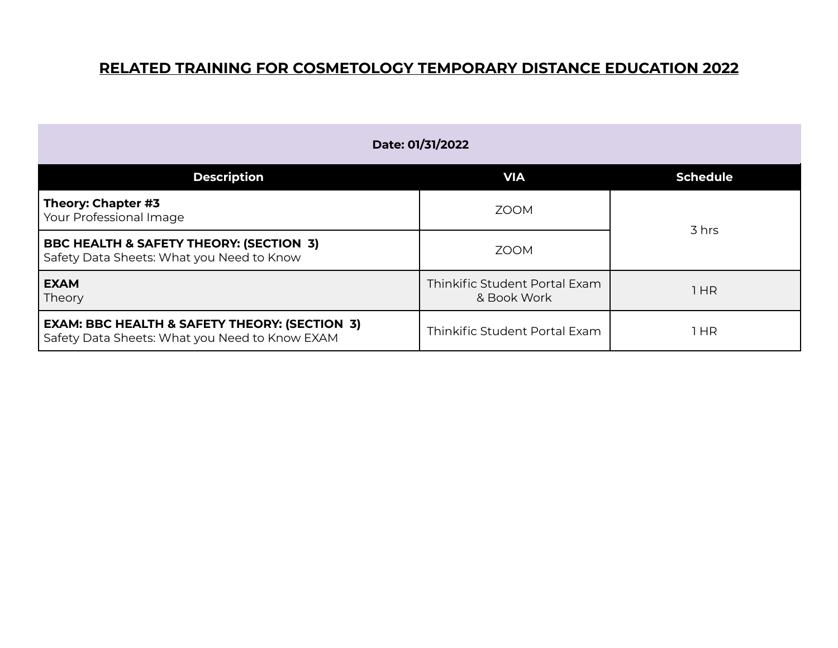| Date: 01/31/2022                                                                                           |                                              |                 |
|------------------------------------------------------------------------------------------------------------|----------------------------------------------|-----------------|
| <b>Description</b>                                                                                         | <b>VIA</b>                                   | <b>Schedule</b> |
| Theory: Chapter #3<br>Your Professional Image                                                              | <b>ZOOM</b>                                  |                 |
| <b>BBC HEALTH &amp; SAFETY THEORY: (SECTION 3)</b><br>Safety Data Sheets: What you Need to Know            | 700M                                         | 3 hrs           |
| <b>EXAM</b><br>Theory                                                                                      | Thinkific Student Portal Exam<br>& Book Work | 1HR             |
| <b>EXAM: BBC HEALTH &amp; SAFETY THEORY: (SECTION 3)</b><br>Safety Data Sheets: What you Need to Know EXAM | Thinkific Student Portal Exam                | 1 HR            |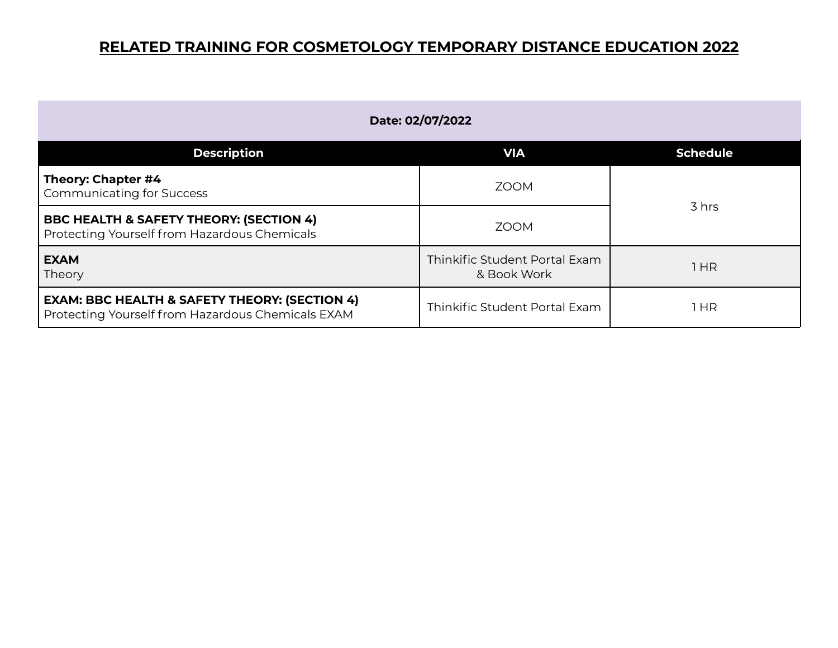| Date: 02/07/2022                                                                                              |                                              |                 |
|---------------------------------------------------------------------------------------------------------------|----------------------------------------------|-----------------|
| <b>Description</b>                                                                                            | <b>VIA</b>                                   | <b>Schedule</b> |
| Theory: Chapter #4<br><b>Communicating for Success</b>                                                        | <b>ZOOM</b>                                  | 3 hrs           |
| <b>BBC HEALTH &amp; SAFETY THEORY: (SECTION 4)</b><br>Protecting Yourself from Hazardous Chemicals            | <b>ZOOM</b>                                  |                 |
| <b>EXAM</b><br>Theory                                                                                         | Thinkific Student Portal Exam<br>& Book Work | 1 HR            |
| <b>EXAM: BBC HEALTH &amp; SAFETY THEORY: (SECTION 4)</b><br>Protecting Yourself from Hazardous Chemicals EXAM | Thinkific Student Portal Exam                | 1 HR            |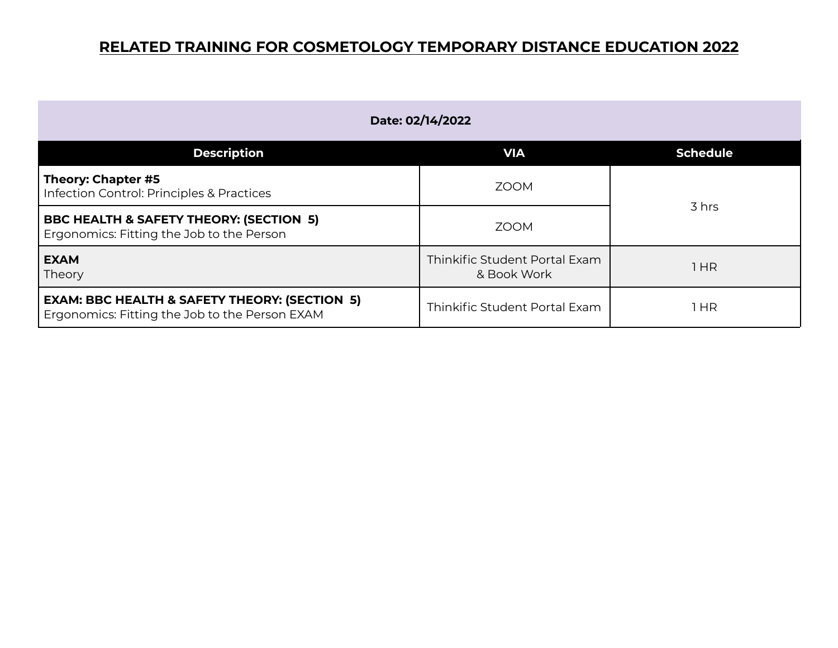| Date: 02/14/2022                                                                                           |                                              |                 |
|------------------------------------------------------------------------------------------------------------|----------------------------------------------|-----------------|
| <b>Description</b>                                                                                         | <b>VIA</b>                                   | <b>Schedule</b> |
| Theory: Chapter #5<br>Infection Control: Principles & Practices                                            | <b>ZOOM</b>                                  | 3 hrs           |
| <b>BBC HEALTH &amp; SAFETY THEORY: (SECTION 5)</b><br>Ergonomics: Fitting the Job to the Person            | <b>ZOOM</b>                                  |                 |
| <b>EXAM</b><br>Theory                                                                                      | Thinkific Student Portal Exam<br>& Book Work | 1HR             |
| <b>EXAM: BBC HEALTH &amp; SAFETY THEORY: (SECTION 5)</b><br>Ergonomics: Fitting the Job to the Person EXAM | Thinkific Student Portal Exam                | 1 HR            |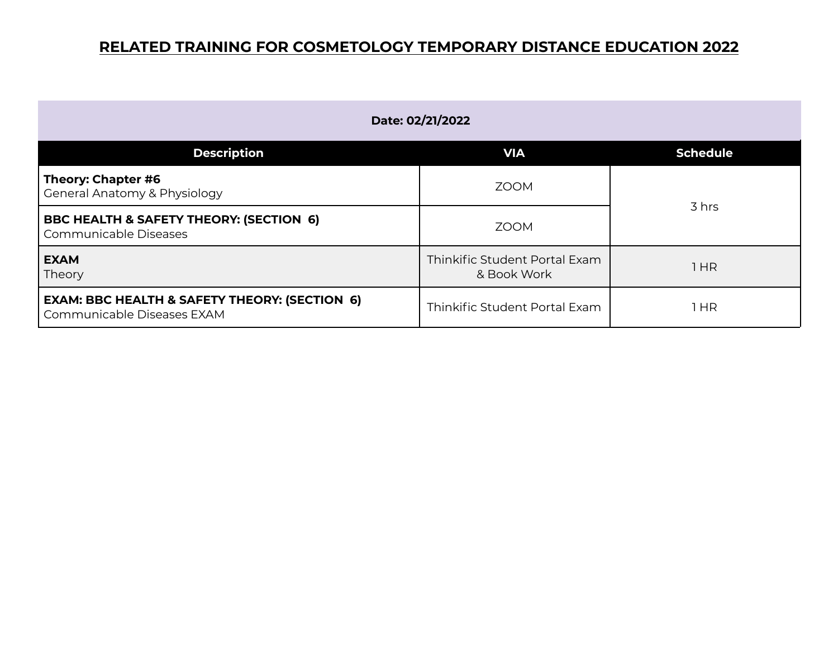| Date: 02/21/2022                                                                       |                                              |                 |
|----------------------------------------------------------------------------------------|----------------------------------------------|-----------------|
| <b>Description</b>                                                                     | <b>VIA</b>                                   | <b>Schedule</b> |
| Theory: Chapter #6<br>General Anatomy & Physiology                                     | <b>ZOOM</b>                                  | 3 hrs           |
| <b>BBC HEALTH &amp; SAFETY THEORY: (SECTION 6)</b><br>Communicable Diseases            | <b>ZOOM</b>                                  |                 |
| <b>EXAM</b><br>Theory                                                                  | Thinkific Student Portal Exam<br>& Book Work | 1HR             |
| <b>EXAM: BBC HEALTH &amp; SAFETY THEORY: (SECTION 6)</b><br>Communicable Diseases EXAM | Thinkific Student Portal Exam                | 1 HR            |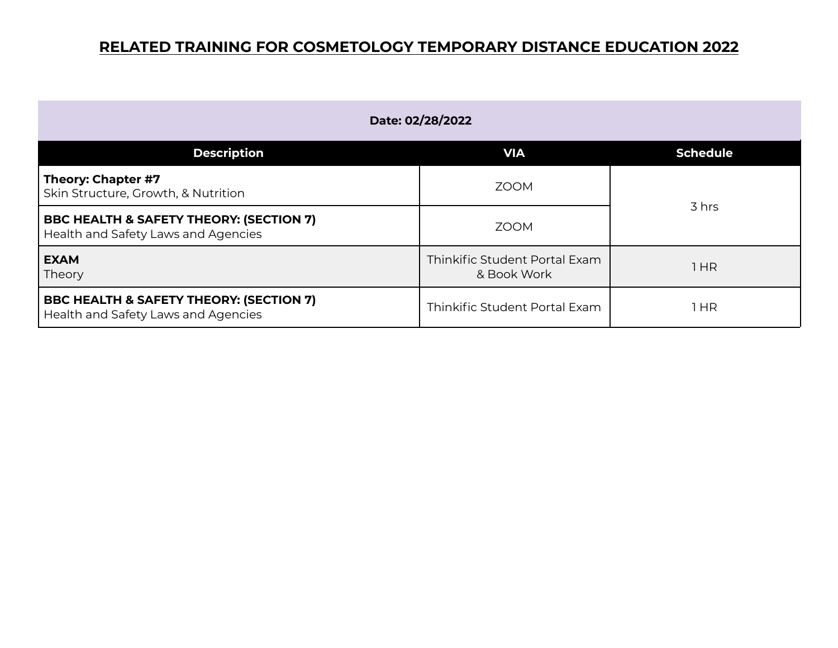| Date: 02/28/2022                                                                          |                                              |                 |
|-------------------------------------------------------------------------------------------|----------------------------------------------|-----------------|
| <b>Description</b>                                                                        | <b>VIA</b>                                   | <b>Schedule</b> |
| Theory: Chapter #7<br>Skin Structure, Growth, & Nutrition                                 | <b>ZOOM</b>                                  | 3 hrs           |
| <b>BBC HEALTH &amp; SAFETY THEORY: (SECTION 7)</b><br>Health and Safety Laws and Agencies | <b>ZOOM</b>                                  |                 |
| <b>EXAM</b><br>Theory                                                                     | Thinkific Student Portal Exam<br>& Book Work | l HR            |
| <b>BBC HEALTH &amp; SAFETY THEORY: (SECTION 7)</b><br>Health and Safety Laws and Agencies | Thinkific Student Portal Exam                | 1 HR            |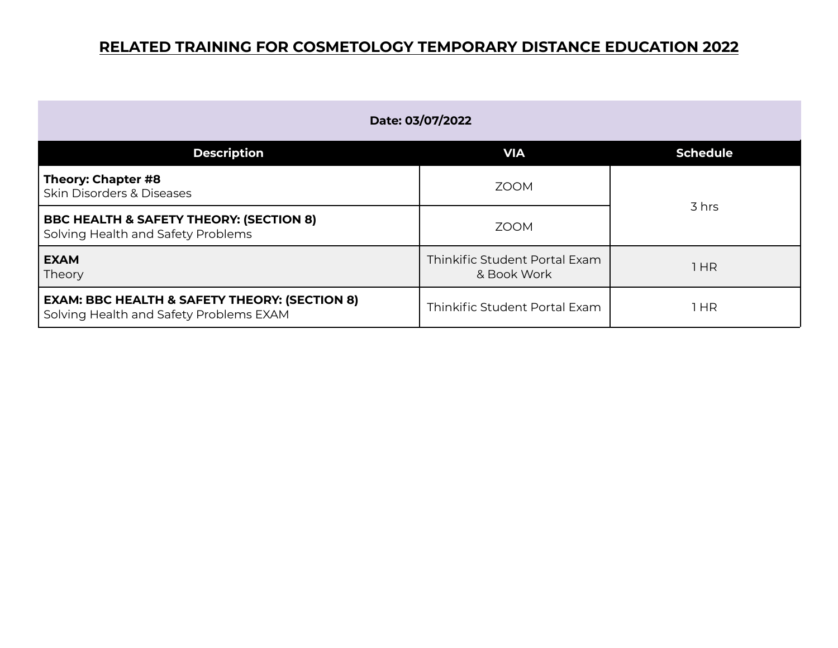| Date: 03/07/2022                                                                                    |                                              |                 |
|-----------------------------------------------------------------------------------------------------|----------------------------------------------|-----------------|
| <b>Description</b>                                                                                  | <b>VIA</b>                                   | <b>Schedule</b> |
| Theory: Chapter #8<br><b>Skin Disorders &amp; Diseases</b>                                          | <b>ZOOM</b>                                  | 3 hrs           |
| <b>BBC HEALTH &amp; SAFETY THEORY: (SECTION 8)</b><br>Solving Health and Safety Problems            | <b>ZOOM</b>                                  |                 |
| <b>EXAM</b><br>Theory                                                                               | Thinkific Student Portal Exam<br>& Book Work | HR              |
| <b>EXAM: BBC HEALTH &amp; SAFETY THEORY: (SECTION 8)</b><br>Solving Health and Safety Problems EXAM | Thinkific Student Portal Exam                | 1 HR            |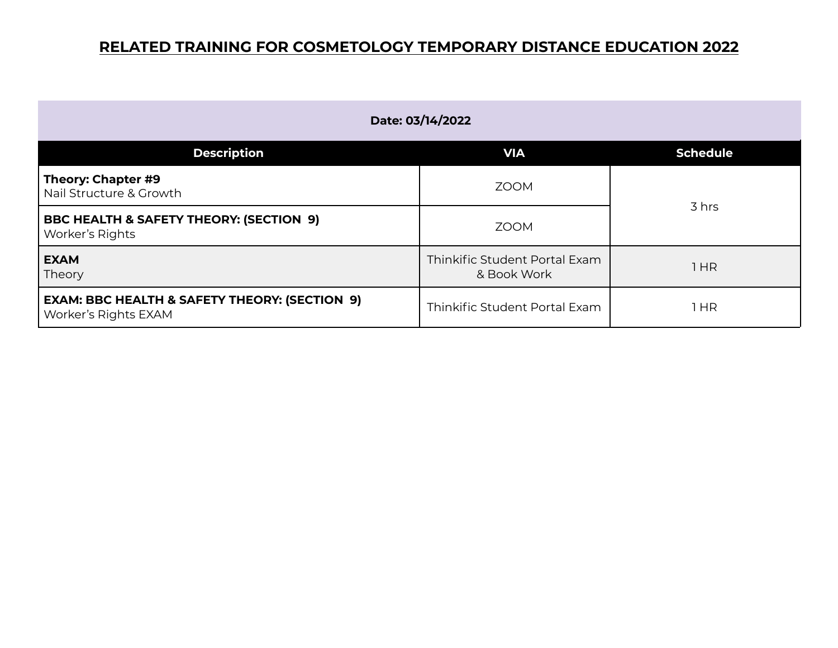| Date: 03/14/2022                                                                 |                                              |                 |
|----------------------------------------------------------------------------------|----------------------------------------------|-----------------|
| <b>Description</b>                                                               | <b>VIA</b>                                   | <b>Schedule</b> |
| Theory: Chapter #9<br>Nail Structure & Growth                                    | <b>ZOOM</b>                                  |                 |
| <b>BBC HEALTH &amp; SAFETY THEORY: (SECTION 9)</b><br>Worker's Rights            | <b>ZOOM</b>                                  | 3 hrs           |
| <b>EXAM</b><br>Theory                                                            | Thinkific Student Portal Exam<br>& Book Work | 1HR             |
| <b>EXAM: BBC HEALTH &amp; SAFETY THEORY: (SECTION 9)</b><br>Worker's Rights EXAM | Thinkific Student Portal Exam                | 1 HR            |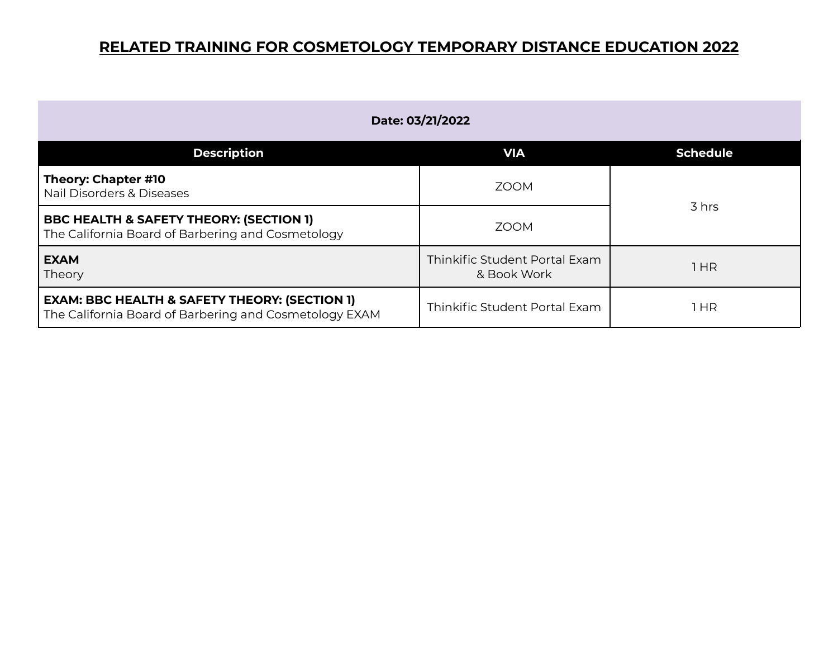| Date: 03/21/2022                                                                                                   |                                              |                 |
|--------------------------------------------------------------------------------------------------------------------|----------------------------------------------|-----------------|
| <b>Description</b>                                                                                                 | <b>VIA</b>                                   | <b>Schedule</b> |
| Theory: Chapter #10<br>Nail Disorders & Diseases                                                                   | <b>ZOOM</b>                                  | 3 hrs           |
| <b>BBC HEALTH &amp; SAFETY THEORY: (SECTION 1)</b><br>The California Board of Barbering and Cosmetology            | <b>ZOOM</b>                                  |                 |
| <b>EXAM</b><br>Theory                                                                                              | Thinkific Student Portal Exam<br>& Book Work | 1HR             |
| <b>EXAM: BBC HEALTH &amp; SAFETY THEORY: (SECTION 1)</b><br>The California Board of Barbering and Cosmetology EXAM | Thinkific Student Portal Exam                | l HR            |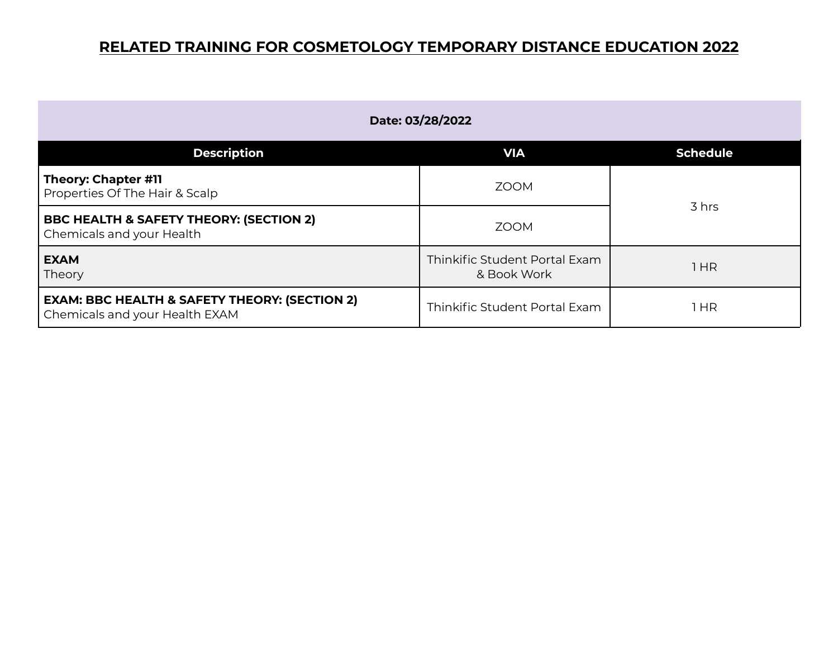| Date: 03/28/2022                                                                           |                                              |                 |
|--------------------------------------------------------------------------------------------|----------------------------------------------|-----------------|
| <b>Description</b>                                                                         | <b>VIA</b>                                   | <b>Schedule</b> |
| Theory: Chapter #11<br>Properties Of The Hair & Scalp                                      | <b>ZOOM</b>                                  | 3 hrs           |
| <b>BBC HEALTH &amp; SAFETY THEORY: (SECTION 2)</b><br><b>Chemicals and your Health</b>     | <b>ZOOM</b>                                  |                 |
| <b>EXAM</b><br>Theory                                                                      | Thinkific Student Portal Exam<br>& Book Work | 1 HR            |
| <b>EXAM: BBC HEALTH &amp; SAFETY THEORY: (SECTION 2)</b><br>Chemicals and your Health EXAM | Thinkific Student Portal Exam                | 1 HR            |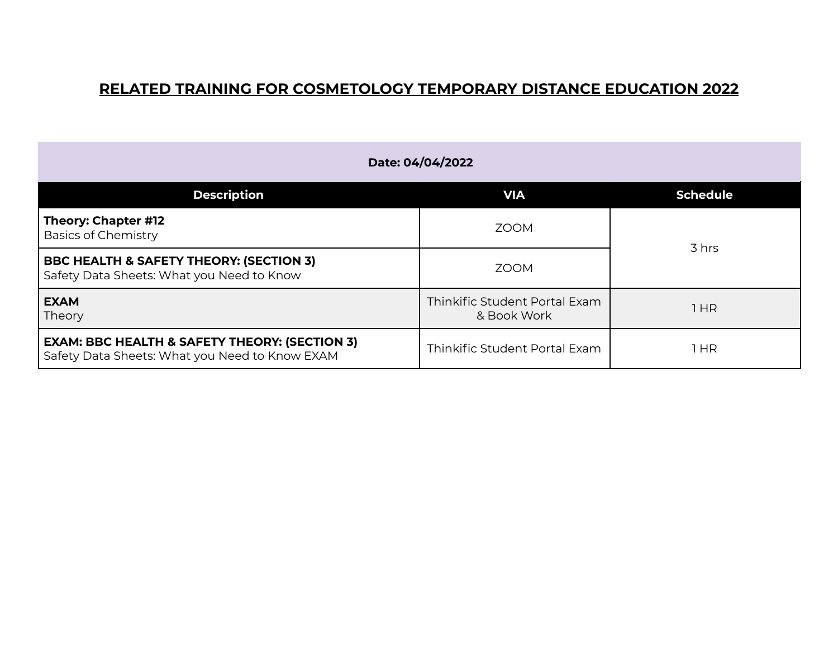| Date: 04/04/2022                                                                                           |                                              |                 |
|------------------------------------------------------------------------------------------------------------|----------------------------------------------|-----------------|
| <b>Description</b>                                                                                         | <b>VIA</b>                                   | <b>Schedule</b> |
| Theory: Chapter #12<br><b>Basics of Chemistry</b>                                                          | <b>ZOOM</b>                                  |                 |
| <b>BBC HEALTH &amp; SAFETY THEORY: (SECTION 3)</b><br>Safety Data Sheets: What you Need to Know            | <b>ZOOM</b>                                  | 3 hrs           |
| <b>EXAM</b><br>Theory                                                                                      | Thinkific Student Portal Exam<br>& Book Work | 1 HR            |
| <b>EXAM: BBC HEALTH &amp; SAFETY THEORY: (SECTION 3)</b><br>Safety Data Sheets: What you Need to Know EXAM | Thinkific Student Portal Exam                | 1 HR            |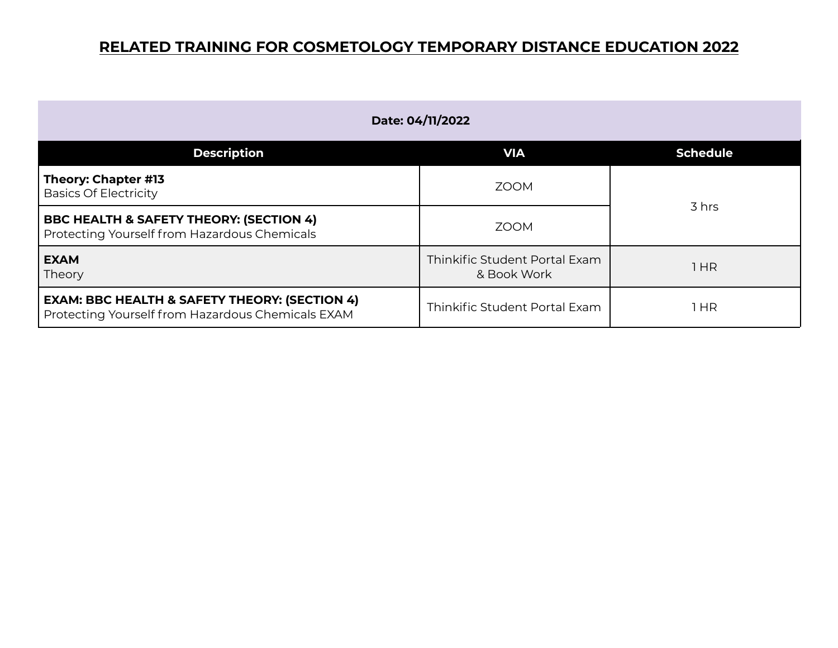| Date: 04/11/2022                                                                                              |                                              |                 |
|---------------------------------------------------------------------------------------------------------------|----------------------------------------------|-----------------|
| <b>Description</b>                                                                                            | <b>VIA</b>                                   | <b>Schedule</b> |
| Theory: Chapter #13<br><b>Basics Of Electricity</b>                                                           | <b>ZOOM</b>                                  |                 |
| <b>BBC HEALTH &amp; SAFETY THEORY: (SECTION 4)</b><br>Protecting Yourself from Hazardous Chemicals            | <b>ZOOM</b>                                  | 3 hrs           |
| <b>EXAM</b><br>Theory                                                                                         | Thinkific Student Portal Exam<br>& Book Work | 1 HR            |
| <b>EXAM: BBC HEALTH &amp; SAFETY THEORY: (SECTION 4)</b><br>Protecting Yourself from Hazardous Chemicals EXAM | Thinkific Student Portal Exam                | 1 HR            |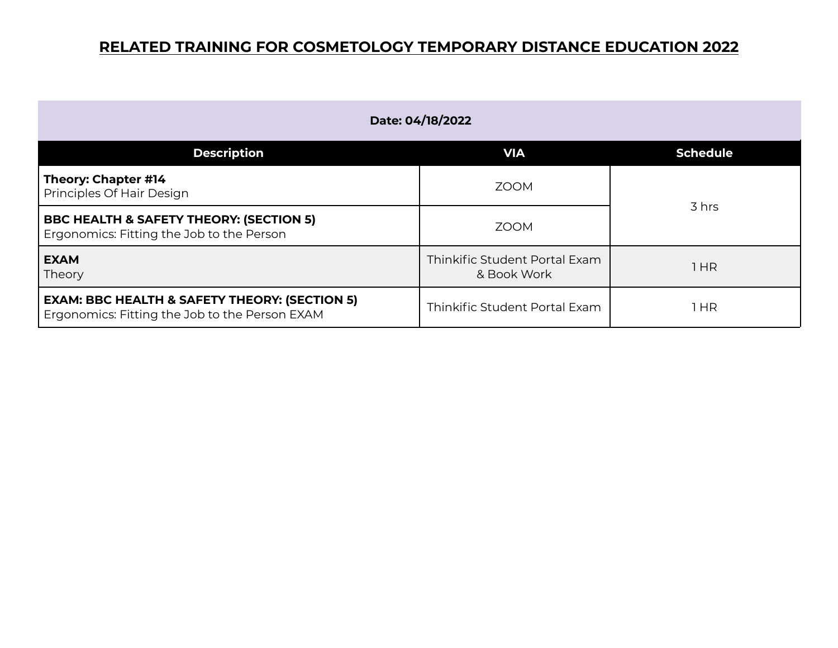| Date: 04/18/2022                                                                                           |                                              |                 |
|------------------------------------------------------------------------------------------------------------|----------------------------------------------|-----------------|
| <b>Description</b>                                                                                         | <b>VIA</b>                                   | <b>Schedule</b> |
| Theory: Chapter #14<br>Principles Of Hair Design                                                           | <b>ZOOM</b>                                  |                 |
| <b>BBC HEALTH &amp; SAFETY THEORY: (SECTION 5)</b><br>Ergonomics: Fitting the Job to the Person            | <b>ZOOM</b>                                  | 3 hrs           |
| <b>EXAM</b><br>Theory                                                                                      | Thinkific Student Portal Exam<br>& Book Work | l HR            |
| <b>EXAM: BBC HEALTH &amp; SAFETY THEORY: (SECTION 5)</b><br>Ergonomics: Fitting the Job to the Person EXAM | Thinkific Student Portal Exam                | 1 HR            |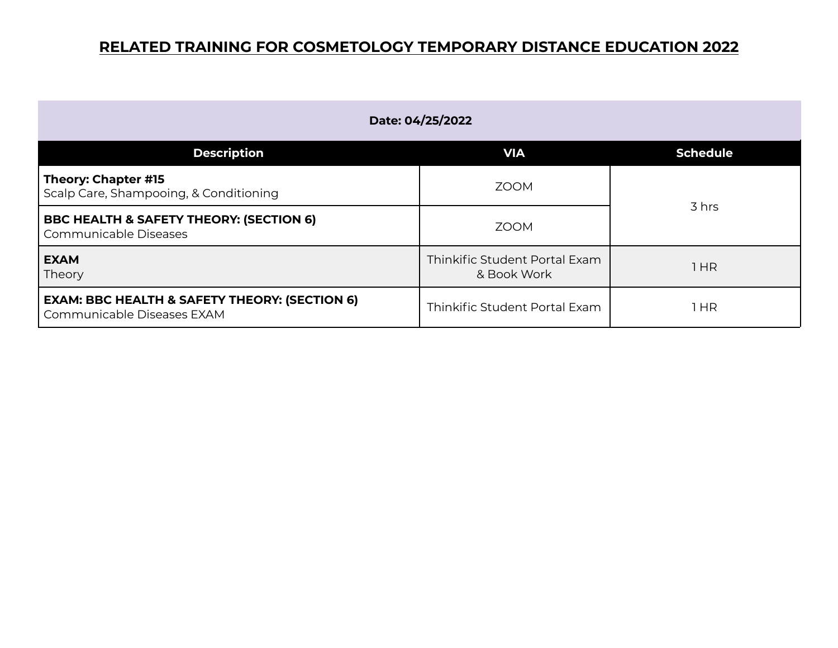| Date: 04/25/2022                                                                       |                                              |                 |
|----------------------------------------------------------------------------------------|----------------------------------------------|-----------------|
| <b>Description</b>                                                                     | <b>VIA</b>                                   | <b>Schedule</b> |
| Theory: Chapter #15<br>Scalp Care, Shampooing, & Conditioning                          | <b>ZOOM</b>                                  |                 |
| <b>BBC HEALTH &amp; SAFETY THEORY: (SECTION 6)</b><br>Communicable Diseases            | <b>ZOOM</b>                                  | 3 hrs           |
| <b>EXAM</b><br>Theory                                                                  | Thinkific Student Portal Exam<br>& Book Work | 1 HR            |
| <b>EXAM: BBC HEALTH &amp; SAFETY THEORY: (SECTION 6)</b><br>Communicable Diseases EXAM | Thinkific Student Portal Exam                | 1 HR            |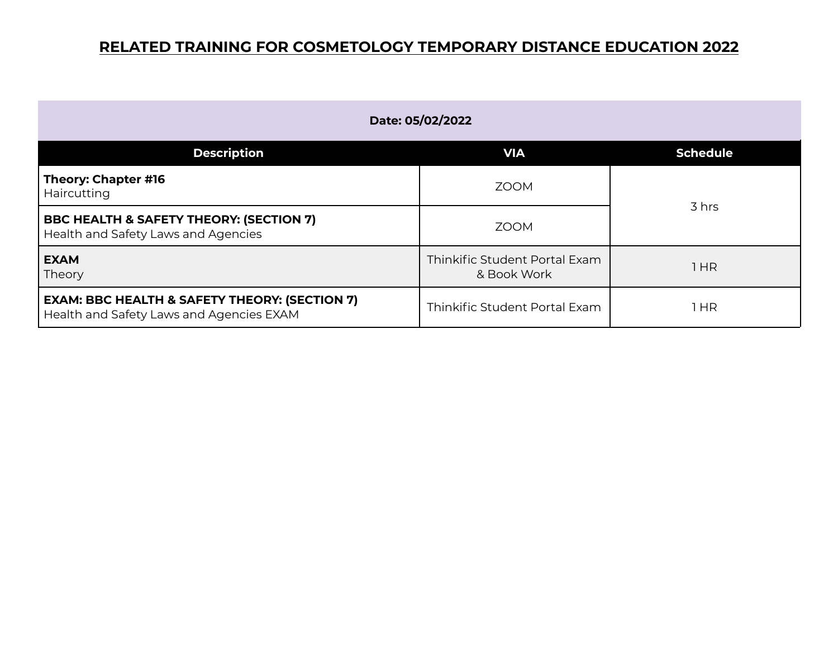| Date: 05/02/2022                                                                                     |                                              |                 |
|------------------------------------------------------------------------------------------------------|----------------------------------------------|-----------------|
| <b>Description</b>                                                                                   | <b>VIA</b>                                   | <b>Schedule</b> |
| Theory: Chapter #16<br>Haircutting                                                                   | <b>ZOOM</b>                                  | 3 hrs           |
| BBC HEALTH & SAFETY THEORY: (SECTION 7)<br>Health and Safety Laws and Agencies                       | <b>ZOOM</b>                                  |                 |
| <b>EXAM</b><br>Theory                                                                                | Thinkific Student Portal Exam<br>& Book Work | 1HR             |
| <b>EXAM: BBC HEALTH &amp; SAFETY THEORY: (SECTION 7)</b><br>Health and Safety Laws and Agencies EXAM | Thinkific Student Portal Exam                | l HR            |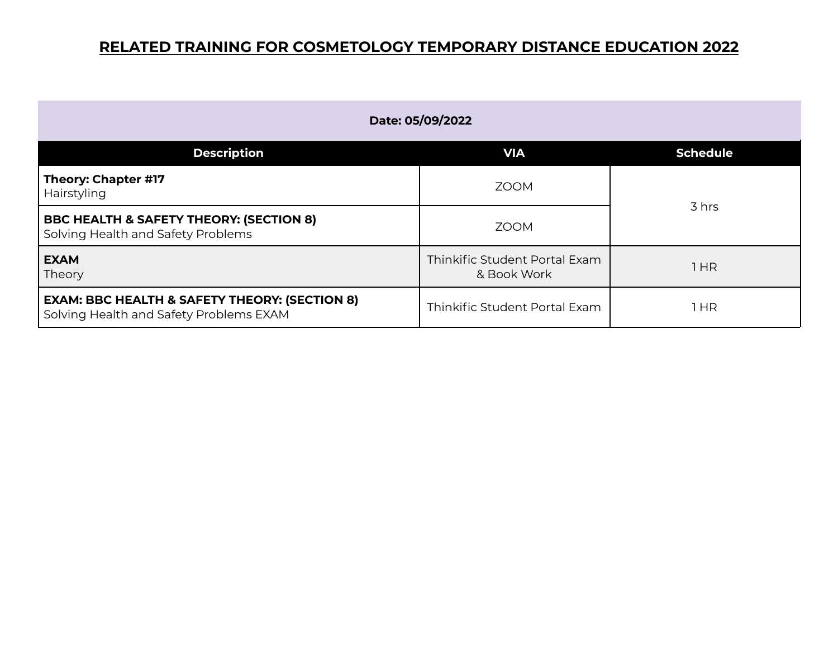| Date: 05/09/2022                                                                                    |                                              |                 |
|-----------------------------------------------------------------------------------------------------|----------------------------------------------|-----------------|
| <b>Description</b>                                                                                  | <b>VIA</b>                                   | <b>Schedule</b> |
| Theory: Chapter #17<br>Hairstyling                                                                  | <b>ZOOM</b>                                  | 3 hrs           |
| <b>BBC HEALTH &amp; SAFETY THEORY: (SECTION 8)</b><br>Solving Health and Safety Problems            | <b>ZOOM</b>                                  |                 |
| <b>EXAM</b><br>Theory                                                                               | Thinkific Student Portal Exam<br>& Book Work | HR              |
| <b>EXAM: BBC HEALTH &amp; SAFETY THEORY: (SECTION 8)</b><br>Solving Health and Safety Problems EXAM | Thinkific Student Portal Exam                | 1 HR            |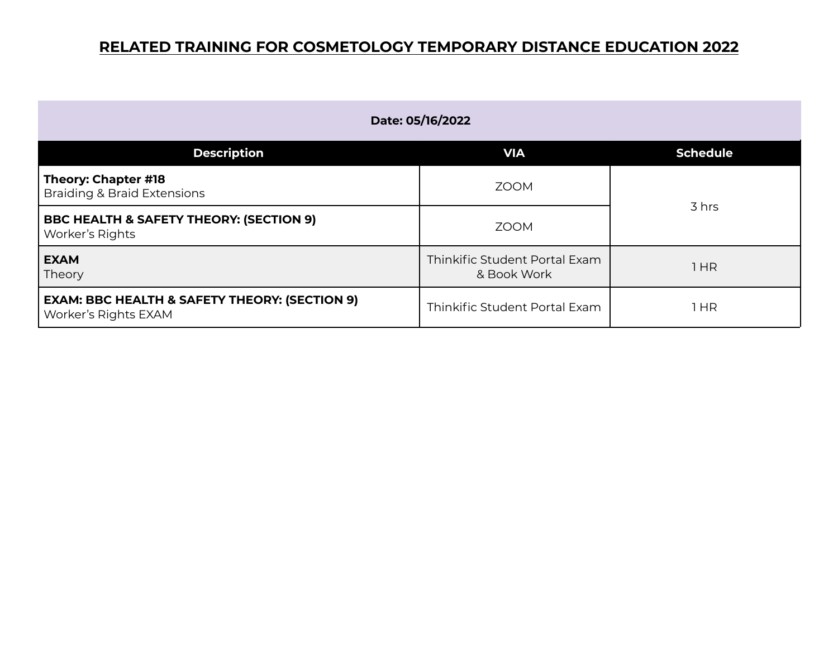| Date: 05/16/2022                                                                 |                                              |                 |
|----------------------------------------------------------------------------------|----------------------------------------------|-----------------|
| <b>Description</b>                                                               | <b>VIA</b>                                   | <b>Schedule</b> |
| Theory: Chapter #18<br><b>Braiding &amp; Braid Extensions</b>                    | <b>ZOOM</b>                                  |                 |
| <b>BBC HEALTH &amp; SAFETY THEORY: (SECTION 9)</b><br>Worker's Rights            | <b>ZOOM</b>                                  | 3 hrs           |
| <b>EXAM</b><br>Theory                                                            | Thinkific Student Portal Exam<br>& Book Work | 1HR             |
| <b>EXAM: BBC HEALTH &amp; SAFETY THEORY: (SECTION 9)</b><br>Worker's Rights EXAM | Thinkific Student Portal Exam                | 1 HR            |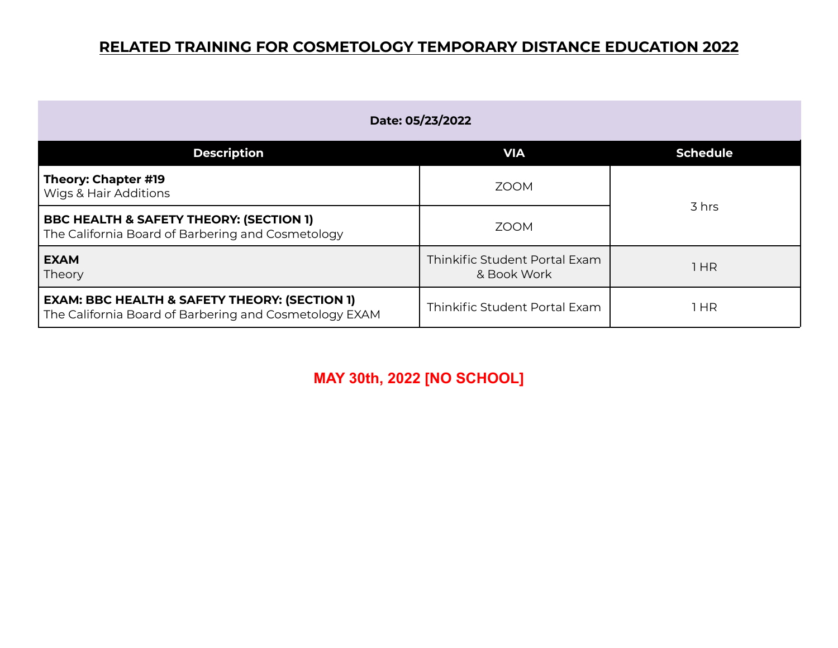| Date: 05/23/2022                                                                                                   |                                              |                 |
|--------------------------------------------------------------------------------------------------------------------|----------------------------------------------|-----------------|
| <b>Description</b>                                                                                                 | <b>VIA</b>                                   | <b>Schedule</b> |
| Theory: Chapter #19<br><b>Wigs &amp; Hair Additions</b>                                                            | <b>ZOOM</b>                                  |                 |
| <b>BBC HEALTH &amp; SAFETY THEORY: (SECTION 1)</b><br>The California Board of Barbering and Cosmetology            | <b>ZOOM</b>                                  | 3 hrs           |
| <b>EXAM</b><br>Theory                                                                                              | Thinkific Student Portal Exam<br>& Book Work | 1 HR            |
| <b>EXAM: BBC HEALTH &amp; SAFETY THEORY: (SECTION 1)</b><br>The California Board of Barbering and Cosmetology EXAM | Thinkific Student Portal Exam                | 1 HR            |

**MAY 30th, 2022 [NO SCHOOL]**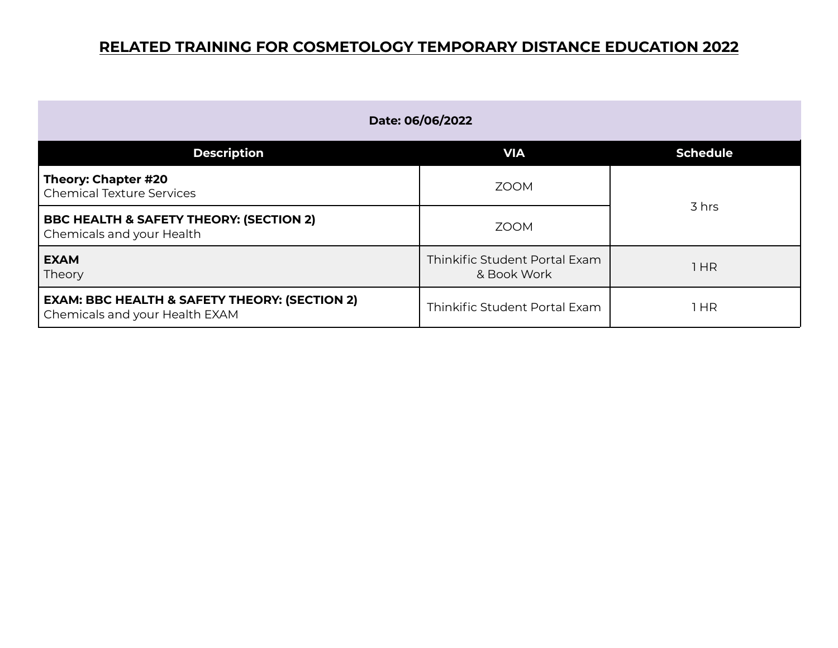| Date: 06/06/2022                                                                           |                                              |                 |
|--------------------------------------------------------------------------------------------|----------------------------------------------|-----------------|
| <b>Description</b>                                                                         | <b>VIA</b>                                   | <b>Schedule</b> |
| Theory: Chapter #20<br>Chemical Texture Services                                           | <b>ZOOM</b>                                  | 3 hrs           |
| <b>BBC HEALTH &amp; SAFETY THEORY: (SECTION 2)</b><br>Chemicals and your Health            | <b>ZOOM</b>                                  |                 |
| <b>EXAM</b><br>Theory                                                                      | Thinkific Student Portal Exam<br>& Book Work | 1 HR            |
| <b>EXAM: BBC HEALTH &amp; SAFETY THEORY: (SECTION 2)</b><br>Chemicals and your Health EXAM | Thinkific Student Portal Exam                | 1 HR            |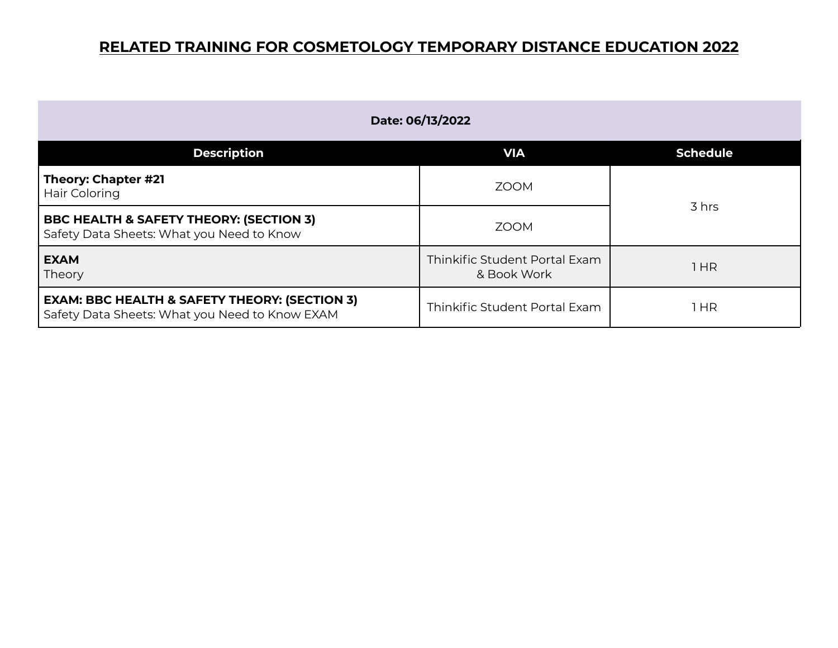| Date: 06/13/2022                                                                                           |                                              |                 |
|------------------------------------------------------------------------------------------------------------|----------------------------------------------|-----------------|
| <b>Description</b>                                                                                         | <b>VIA</b>                                   | <b>Schedule</b> |
| Theory: Chapter #21<br>Hair Coloring                                                                       | <b>ZOOM</b>                                  | 3 hrs           |
| <b>BBC HEALTH &amp; SAFETY THEORY: (SECTION 3)</b><br>Safety Data Sheets: What you Need to Know            | <b>ZOOM</b>                                  |                 |
| <b>EXAM</b><br>Theory                                                                                      | Thinkific Student Portal Exam<br>& Book Work | 1HR             |
| <b>EXAM: BBC HEALTH &amp; SAFETY THEORY: (SECTION 3)</b><br>Safety Data Sheets: What you Need to Know EXAM | Thinkific Student Portal Exam                | l HR            |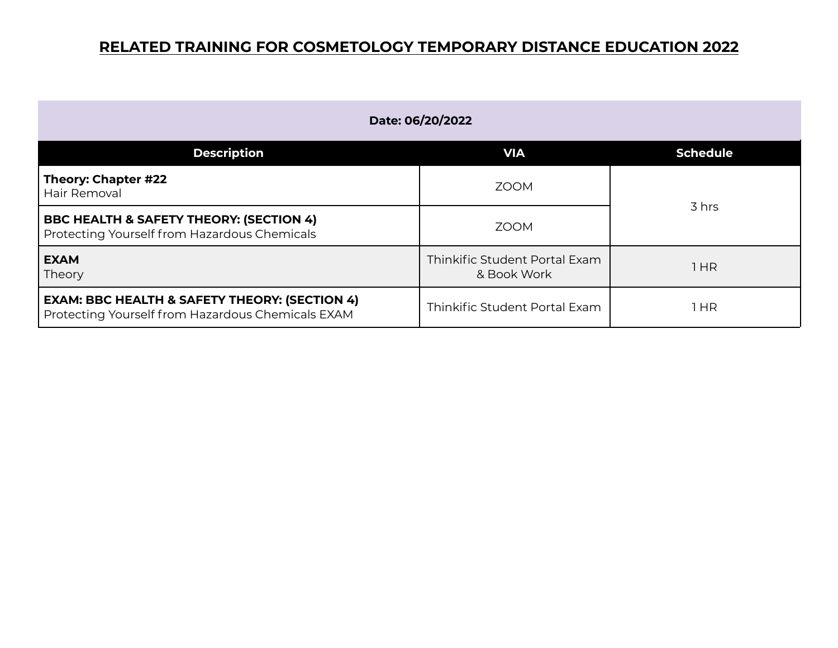| Date: 06/20/2022                                                                                              |                                              |                 |
|---------------------------------------------------------------------------------------------------------------|----------------------------------------------|-----------------|
| <b>Description</b>                                                                                            | <b>VIA</b>                                   | <b>Schedule</b> |
| Theory: Chapter #22<br><b>Hair Removal</b>                                                                    | <b>ZOOM</b>                                  | 3 hrs           |
| <b>BBC HEALTH &amp; SAFETY THEORY: (SECTION 4)</b><br>Protecting Yourself from Hazardous Chemicals            | <b>ZOOM</b>                                  |                 |
| <b>EXAM</b><br>Theory                                                                                         | Thinkific Student Portal Exam<br>& Book Work | 1HR             |
| <b>EXAM: BBC HEALTH &amp; SAFETY THEORY: (SECTION 4)</b><br>Protecting Yourself from Hazardous Chemicals EXAM | Thinkific Student Portal Exam                | 1 HR            |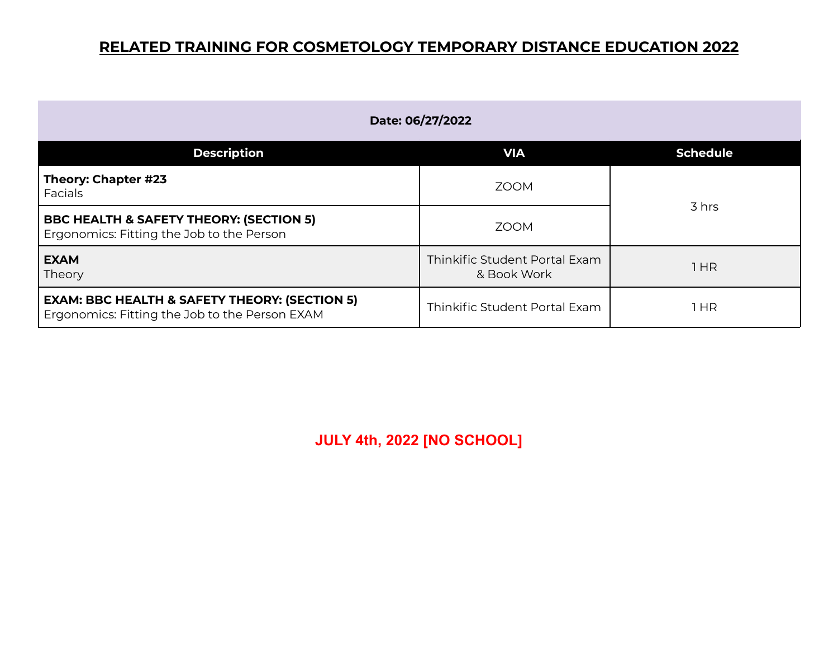| Date: 06/27/2022                                                                                           |                                              |                 |
|------------------------------------------------------------------------------------------------------------|----------------------------------------------|-----------------|
| <b>Description</b>                                                                                         | <b>VIA</b>                                   | <b>Schedule</b> |
| Theory: Chapter #23<br>Facials                                                                             | <b>ZOOM</b>                                  | 3 hrs           |
| <b>BBC HEALTH &amp; SAFETY THEORY: (SECTION 5)</b><br>Ergonomics: Fitting the Job to the Person            | <b>ZOOM</b>                                  |                 |
| <b>EXAM</b><br>Theory                                                                                      | Thinkific Student Portal Exam<br>& Book Work | l HR            |
| <b>EXAM: BBC HEALTH &amp; SAFETY THEORY: (SECTION 5)</b><br>Ergonomics: Fitting the Job to the Person EXAM | Thinkific Student Portal Exam                | 1 HR            |

**JULY 4th, 2022 [NO SCHOOL]**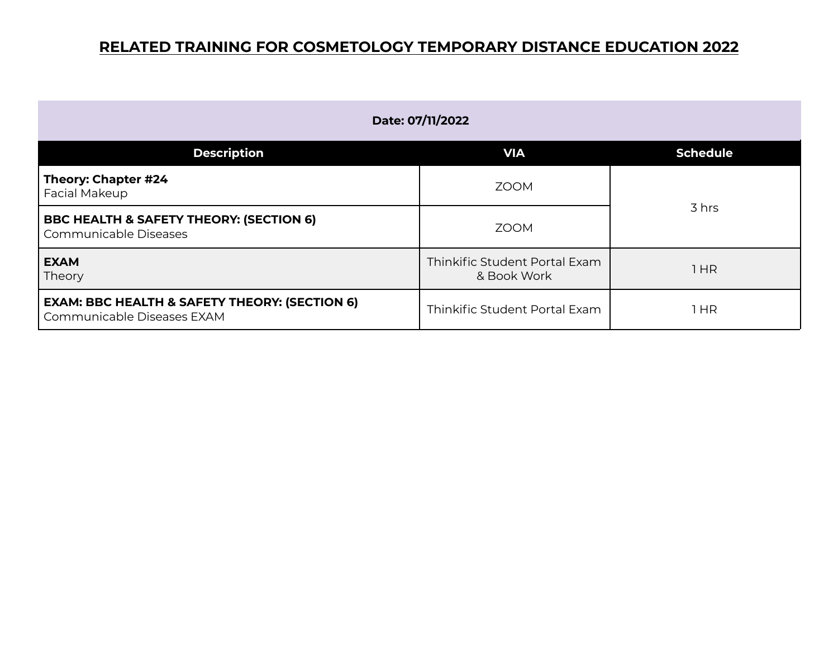| Date: 07/11/2022                                                                       |                                              |                 |
|----------------------------------------------------------------------------------------|----------------------------------------------|-----------------|
| <b>Description</b>                                                                     | <b>VIA</b>                                   | <b>Schedule</b> |
| Theory: Chapter #24<br><b>Facial Makeup</b>                                            | <b>ZOOM</b>                                  |                 |
| <b>BBC HEALTH &amp; SAFETY THEORY: (SECTION 6)</b><br>Communicable Diseases            | <b>ZOOM</b>                                  | 3 hrs           |
| <b>EXAM</b><br>Theory                                                                  | Thinkific Student Portal Exam<br>& Book Work | 1 HR            |
| <b>EXAM: BBC HEALTH &amp; SAFETY THEORY: (SECTION 6)</b><br>Communicable Diseases EXAM | Thinkific Student Portal Exam                | 1 HR            |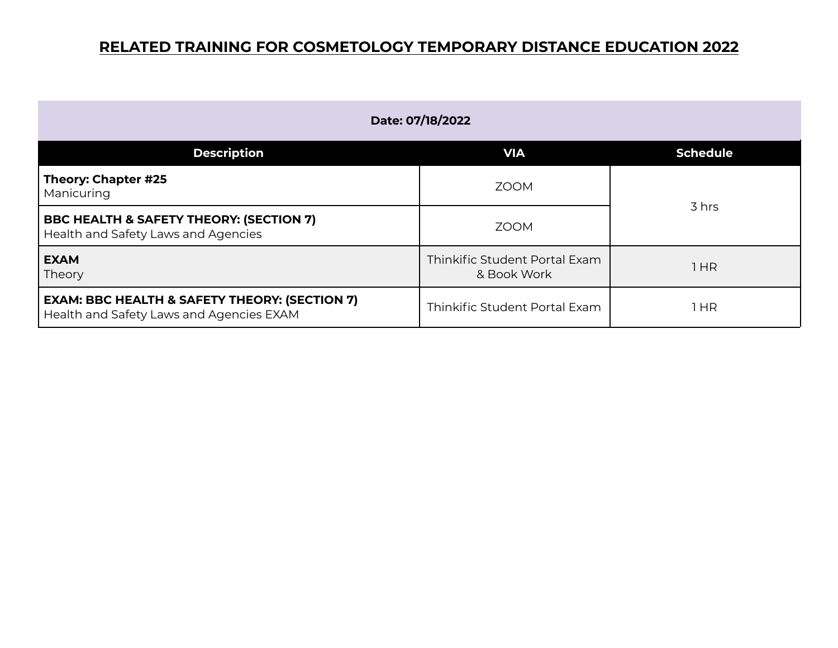| Date: 07/18/2022                                                                                     |                                              |                 |
|------------------------------------------------------------------------------------------------------|----------------------------------------------|-----------------|
| <b>Description</b>                                                                                   | <b>VIA</b>                                   | <b>Schedule</b> |
| Theory: Chapter #25<br>Manicuring                                                                    | <b>ZOOM</b>                                  | 3 hrs           |
| <b>BBC HEALTH &amp; SAFETY THEORY: (SECTION 7)</b><br>Health and Safety Laws and Agencies            | <b>ZOOM</b>                                  |                 |
| <b>EXAM</b><br>Theory                                                                                | Thinkific Student Portal Exam<br>& Book Work | 1HR             |
| <b>EXAM: BBC HEALTH &amp; SAFETY THEORY: (SECTION 7)</b><br>Health and Safety Laws and Agencies EXAM | Thinkific Student Portal Exam                | HR              |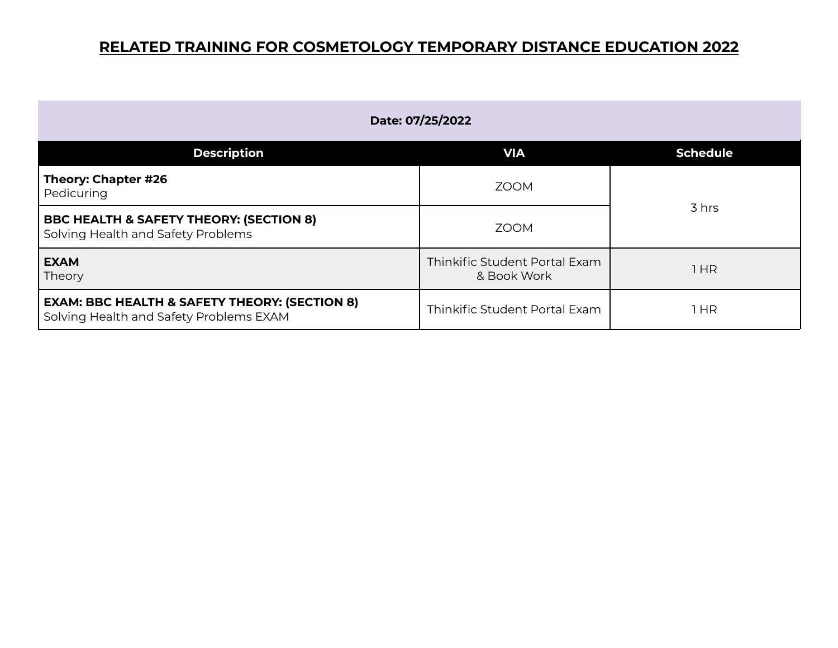| Date: 07/25/2022                                                                                    |                                              |                 |
|-----------------------------------------------------------------------------------------------------|----------------------------------------------|-----------------|
| <b>Description</b>                                                                                  | <b>VIA</b>                                   | <b>Schedule</b> |
| Theory: Chapter #26<br>Pedicuring                                                                   | <b>ZOOM</b>                                  |                 |
| <b>BBC HEALTH &amp; SAFETY THEORY: (SECTION 8)</b><br>Solving Health and Safety Problems            | <b>ZOOM</b>                                  | 3 hrs           |
| <b>EXAM</b><br>Theory                                                                               | Thinkific Student Portal Exam<br>& Book Work | 1HR             |
| <b>EXAM: BBC HEALTH &amp; SAFETY THEORY: (SECTION 8)</b><br>Solving Health and Safety Problems EXAM | Thinkific Student Portal Exam                | 1 HR            |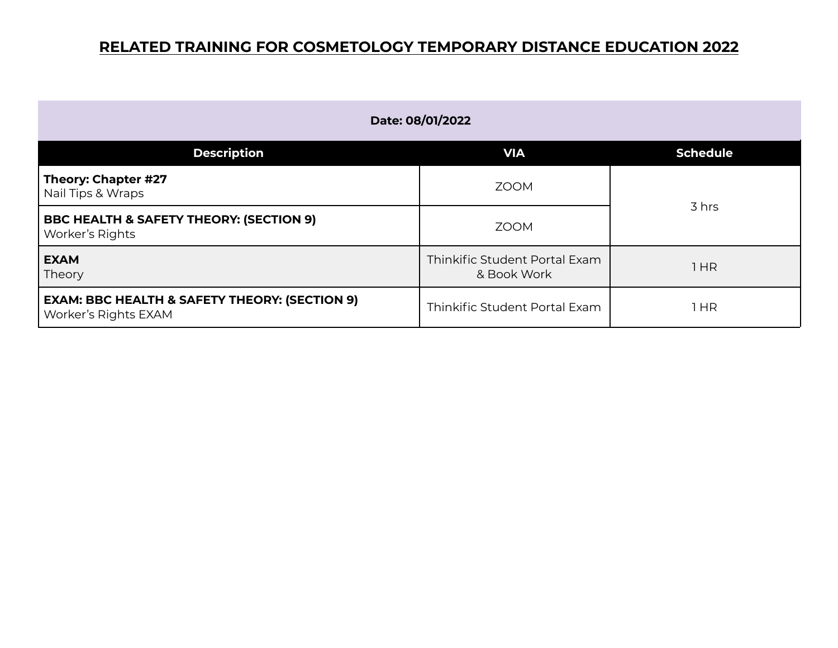| Date: 08/01/2022                                                                 |                                              |                 |
|----------------------------------------------------------------------------------|----------------------------------------------|-----------------|
| <b>Description</b>                                                               | <b>VIA</b>                                   | <b>Schedule</b> |
| Theory: Chapter #27<br>Nail Tips & Wraps                                         | <b>ZOOM</b>                                  | 3 hrs           |
| <b>BBC HEALTH &amp; SAFETY THEORY: (SECTION 9)</b><br>Worker's Rights            | <b>ZOOM</b>                                  |                 |
| <b>EXAM</b><br>Theory                                                            | Thinkific Student Portal Exam<br>& Book Work | 1HR             |
| <b>EXAM: BBC HEALTH &amp; SAFETY THEORY: (SECTION 9)</b><br>Worker's Rights EXAM | Thinkific Student Portal Exam                | 1HR             |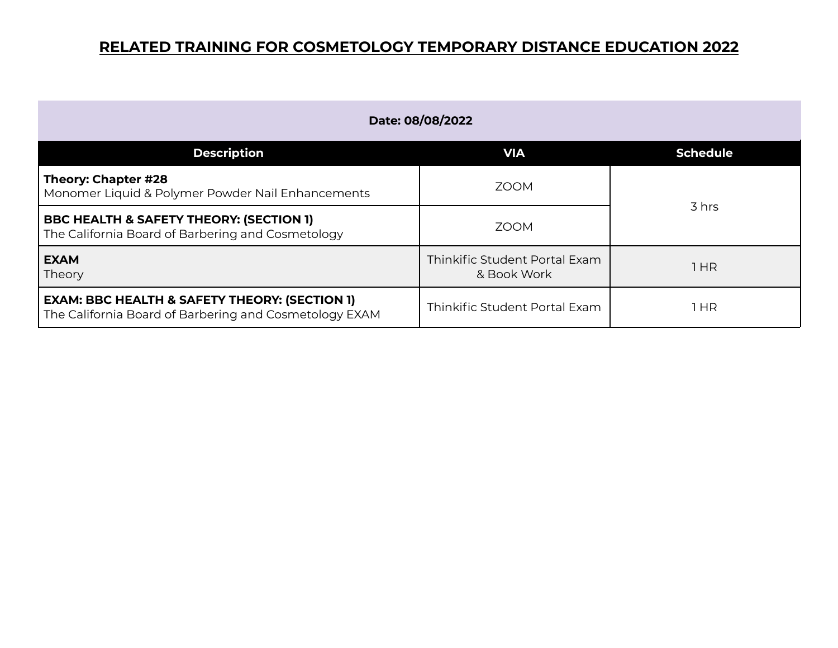| Date: 08/08/2022                                                                                                   |                                              |                 |
|--------------------------------------------------------------------------------------------------------------------|----------------------------------------------|-----------------|
| <b>Description</b>                                                                                                 | <b>VIA</b>                                   | <b>Schedule</b> |
| Theory: Chapter #28<br>Monomer Liquid & Polymer Powder Nail Enhancements                                           | <b>ZOOM</b>                                  | 3 hrs           |
| <b>BBC HEALTH &amp; SAFETY THEORY: (SECTION 1)</b><br>The California Board of Barbering and Cosmetology            | <b>ZOOM</b>                                  |                 |
| <b>EXAM</b><br>Theory                                                                                              | Thinkific Student Portal Exam<br>& Book Work | 1HR             |
| <b>EXAM: BBC HEALTH &amp; SAFETY THEORY: (SECTION 1)</b><br>The California Board of Barbering and Cosmetology EXAM | Thinkific Student Portal Exam                | l HR            |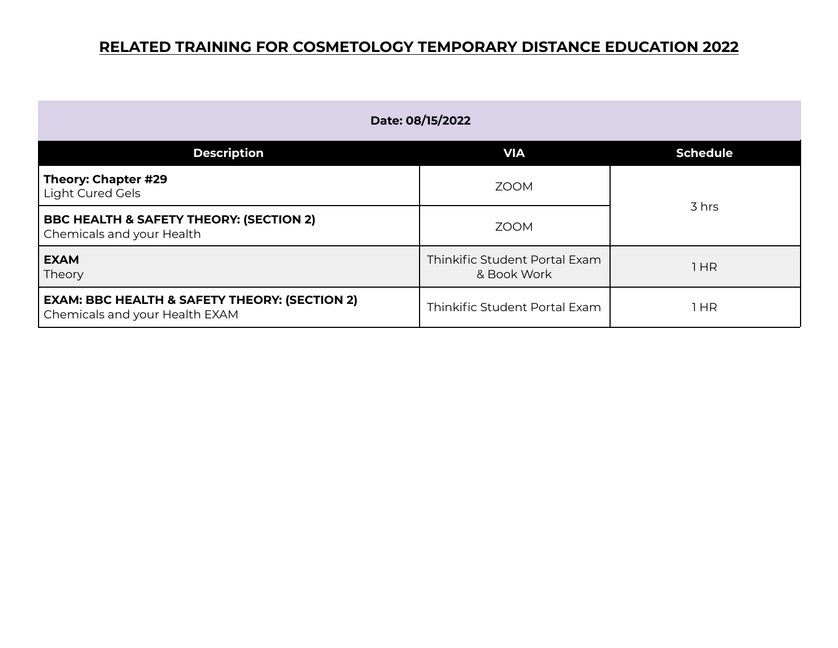| Date: 08/15/2022                                                                           |                                              |                 |
|--------------------------------------------------------------------------------------------|----------------------------------------------|-----------------|
| <b>Description</b>                                                                         | <b>VIA</b>                                   | <b>Schedule</b> |
| Theory: Chapter #29<br>Light Cured Gels                                                    | <b>ZOOM</b>                                  | 3 hrs           |
| <b>BBC HEALTH &amp; SAFETY THEORY: (SECTION 2)</b><br>Chemicals and your Health            | <b>ZOOM</b>                                  |                 |
| <b>EXAM</b><br>Theory                                                                      | Thinkific Student Portal Exam<br>& Book Work | 1HR             |
| <b>EXAM: BBC HEALTH &amp; SAFETY THEORY: (SECTION 2)</b><br>Chemicals and your Health EXAM | Thinkific Student Portal Exam                | 1 HR            |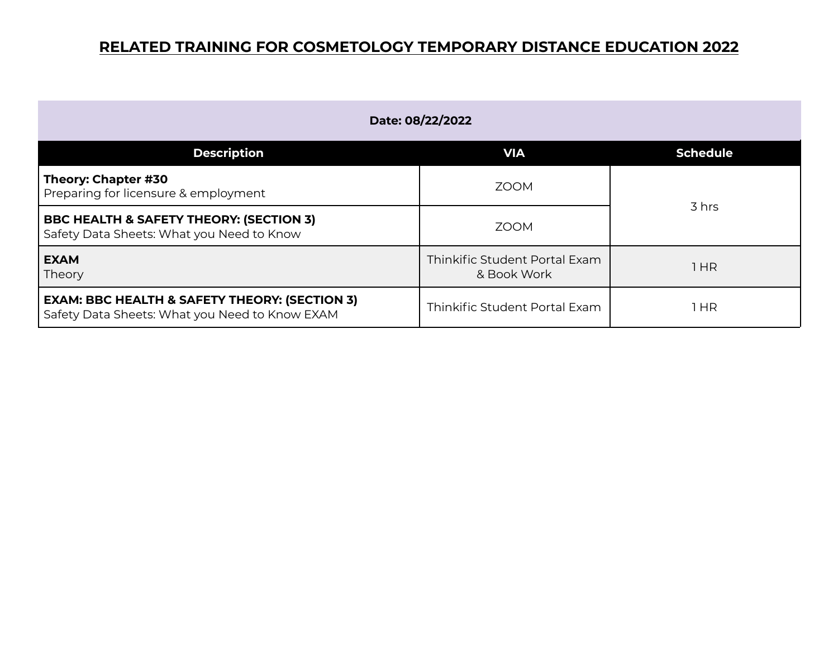| Date: 08/22/2022                                                                                           |                                              |                 |
|------------------------------------------------------------------------------------------------------------|----------------------------------------------|-----------------|
| <b>Description</b>                                                                                         | <b>VIA</b>                                   | <b>Schedule</b> |
| Theory: Chapter #30<br>Preparing for licensure & employment                                                | <b>ZOOM</b>                                  | 3 hrs           |
| <b>BBC HEALTH &amp; SAFETY THEORY: (SECTION 3)</b><br>Safety Data Sheets: What you Need to Know            | <b>ZOOM</b>                                  |                 |
| <b>EXAM</b><br>Theory                                                                                      | Thinkific Student Portal Exam<br>& Book Work | HR              |
| <b>EXAM: BBC HEALTH &amp; SAFETY THEORY: (SECTION 3)</b><br>Safety Data Sheets: What you Need to Know EXAM | Thinkific Student Portal Exam                | 1 HR            |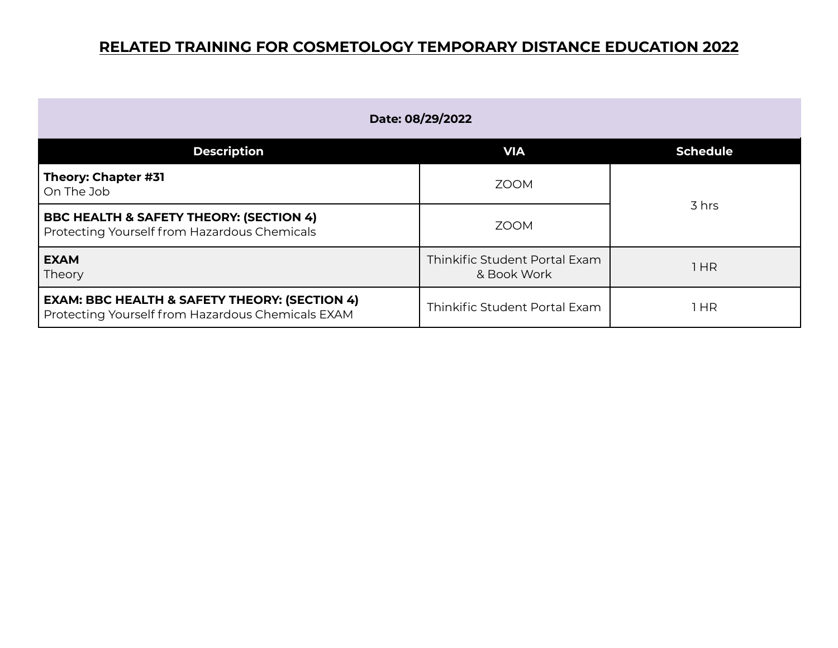| Date: 08/29/2022                                                                                              |                                              |                 |
|---------------------------------------------------------------------------------------------------------------|----------------------------------------------|-----------------|
| <b>Description</b>                                                                                            | <b>VIA</b>                                   | <b>Schedule</b> |
| Theory: Chapter #31<br>On The Job                                                                             | <b>ZOOM</b>                                  |                 |
| <b>BBC HEALTH &amp; SAFETY THEORY: (SECTION 4)</b><br>Protecting Yourself from Hazardous Chemicals            | <b>ZOOM</b>                                  | 3 hrs           |
| <b>EXAM</b><br>Theory                                                                                         | Thinkific Student Portal Exam<br>& Book Work | 1 HR            |
| <b>EXAM: BBC HEALTH &amp; SAFETY THEORY: (SECTION 4)</b><br>Protecting Yourself from Hazardous Chemicals EXAM | Thinkific Student Portal Exam                | 1 HR            |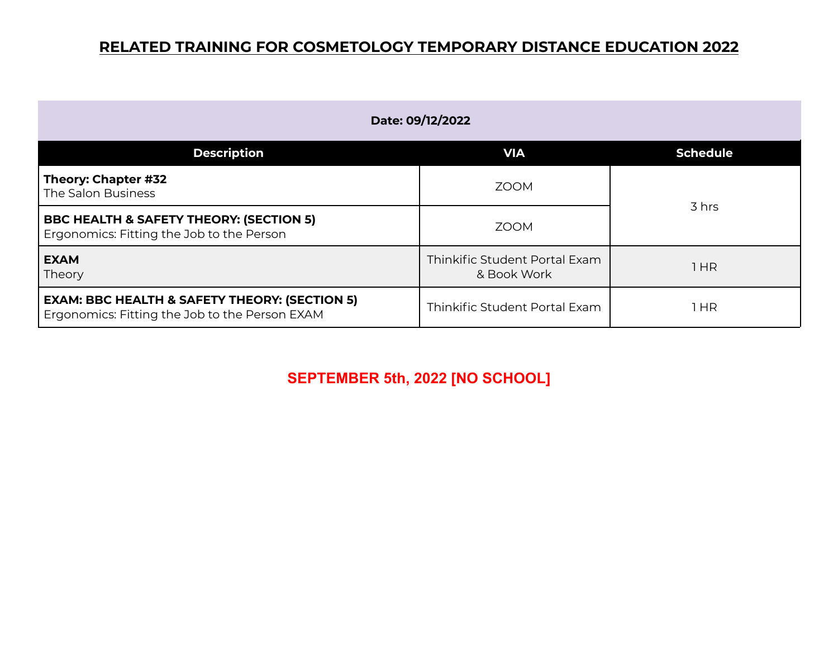| Date: 09/12/2022                                                                                           |                                              |                 |
|------------------------------------------------------------------------------------------------------------|----------------------------------------------|-----------------|
| <b>Description</b>                                                                                         | <b>VIA</b>                                   | <b>Schedule</b> |
| Theory: Chapter #32<br>The Salon Business                                                                  | <b>ZOOM</b>                                  |                 |
| <b>BBC HEALTH &amp; SAFETY THEORY: (SECTION 5)</b><br>Ergonomics: Fitting the Job to the Person            | <b>ZOOM</b>                                  | 3 hrs           |
| <b>EXAM</b><br>Theory                                                                                      | Thinkific Student Portal Exam<br>& Book Work | 1HR             |
| <b>EXAM: BBC HEALTH &amp; SAFETY THEORY: (SECTION 5)</b><br>Ergonomics: Fitting the Job to the Person EXAM | Thinkific Student Portal Exam                | HR              |

**SEPTEMBER 5th, 2022 [NO SCHOOL]**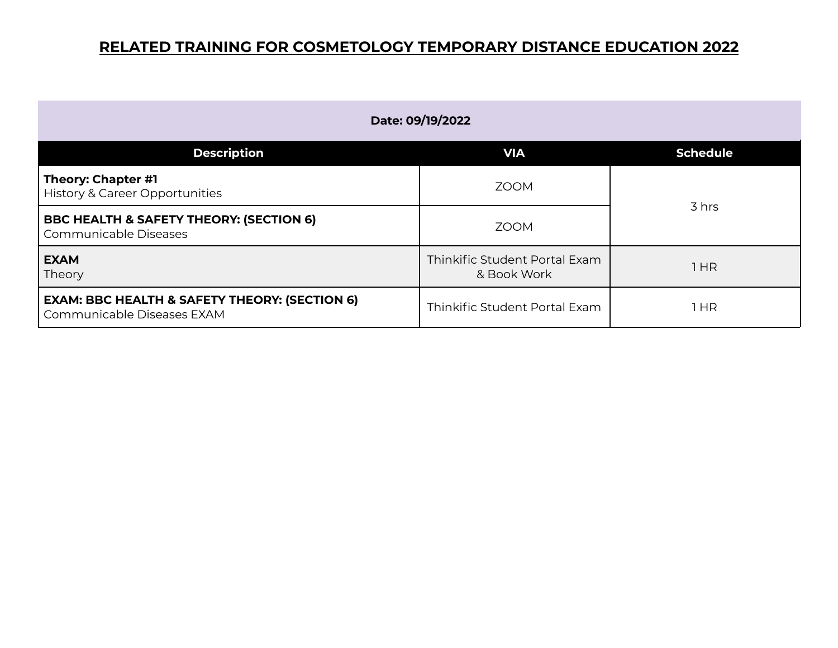| Date: 09/19/2022                                                                       |                                              |                 |
|----------------------------------------------------------------------------------------|----------------------------------------------|-----------------|
| <b>Description</b>                                                                     | <b>VIA</b>                                   | <b>Schedule</b> |
| Theory: Chapter #1<br><b>History &amp; Career Opportunities</b>                        | <b>ZOOM</b>                                  | 3 hrs           |
| <b>BBC HEALTH &amp; SAFETY THEORY: (SECTION 6)</b><br>Communicable Diseases            | <b>ZOOM</b>                                  |                 |
| <b>EXAM</b><br>Theory                                                                  | Thinkific Student Portal Exam<br>& Book Work | 1HR             |
| <b>EXAM: BBC HEALTH &amp; SAFETY THEORY: (SECTION 6)</b><br>Communicable Diseases EXAM | Thinkific Student Portal Exam                | l HR            |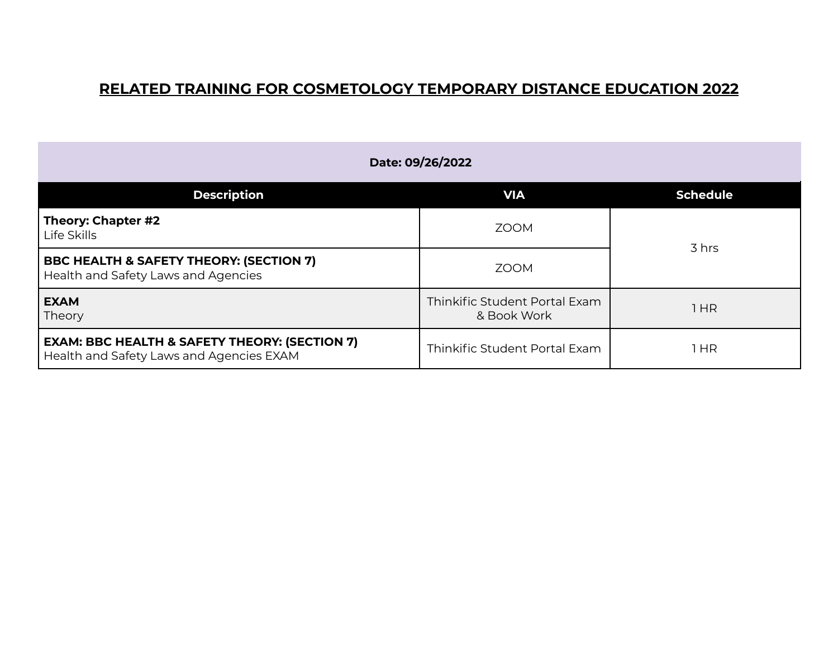| Date: 09/26/2022                                                                                     |                                              |                 |
|------------------------------------------------------------------------------------------------------|----------------------------------------------|-----------------|
| <b>Description</b>                                                                                   | <b>VIA</b>                                   | <b>Schedule</b> |
| Theory: Chapter #2<br>Life Skills                                                                    | <b>ZOOM</b>                                  |                 |
| <b>BBC HEALTH &amp; SAFETY THEORY: (SECTION 7)</b><br>Health and Safety Laws and Agencies            | <b>ZOOM</b>                                  | 3 hrs           |
| <b>EXAM</b><br>Theory                                                                                | Thinkific Student Portal Exam<br>& Book Work | 1 HR            |
| <b>EXAM: BBC HEALTH &amp; SAFETY THEORY: (SECTION 7)</b><br>Health and Safety Laws and Agencies EXAM | Thinkific Student Portal Exam                | 1 HR            |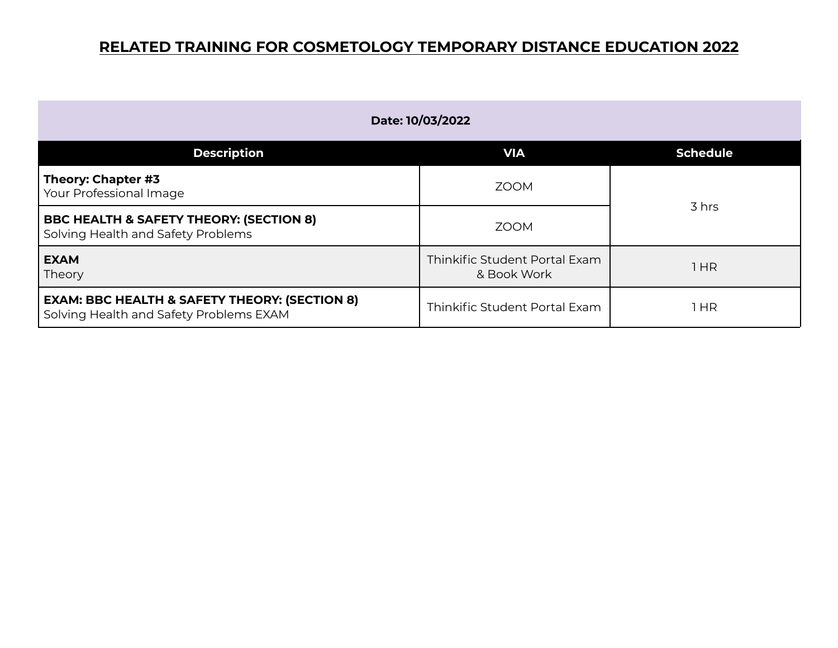| Date: 10/03/2022                                                                                    |                                              |                 |
|-----------------------------------------------------------------------------------------------------|----------------------------------------------|-----------------|
| <b>Description</b>                                                                                  | <b>VIA</b>                                   | <b>Schedule</b> |
| Theory: Chapter #3<br>Your Professional Image                                                       | <b>ZOOM</b>                                  | 3 hrs           |
| <b>BBC HEALTH &amp; SAFETY THEORY: (SECTION 8)</b><br>Solving Health and Safety Problems            | <b>ZOOM</b>                                  |                 |
| <b>EXAM</b><br>Theory                                                                               | Thinkific Student Portal Exam<br>& Book Work | l HR            |
| <b>EXAM: BBC HEALTH &amp; SAFETY THEORY: (SECTION 8)</b><br>Solving Health and Safety Problems EXAM | Thinkific Student Portal Exam                | 1 HR            |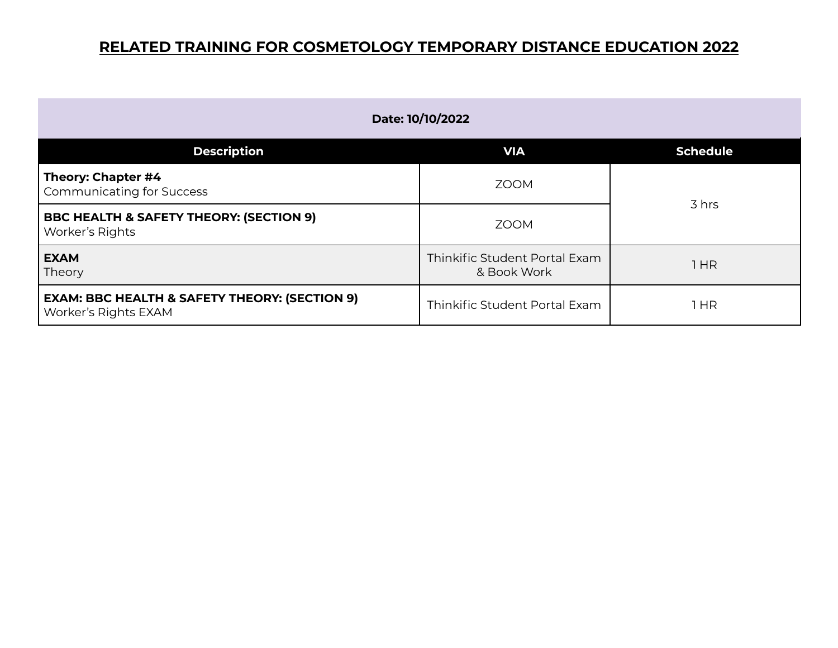| Date: 10/10/2022                                                                 |                                              |                 |
|----------------------------------------------------------------------------------|----------------------------------------------|-----------------|
| <b>Description</b>                                                               | <b>VIA</b>                                   | <b>Schedule</b> |
| Theory: Chapter #4<br><b>Communicating for Success</b>                           | <b>ZOOM</b>                                  | 3 hrs           |
| <b>BBC HEALTH &amp; SAFETY THEORY: (SECTION 9)</b><br>Worker's Rights            | <b>ZOOM</b>                                  |                 |
| <b>EXAM</b><br>Theory                                                            | Thinkific Student Portal Exam<br>& Book Work | 1HR             |
| <b>EXAM: BBC HEALTH &amp; SAFETY THEORY: (SECTION 9)</b><br>Worker's Rights EXAM | Thinkific Student Portal Exam                | 1 HR            |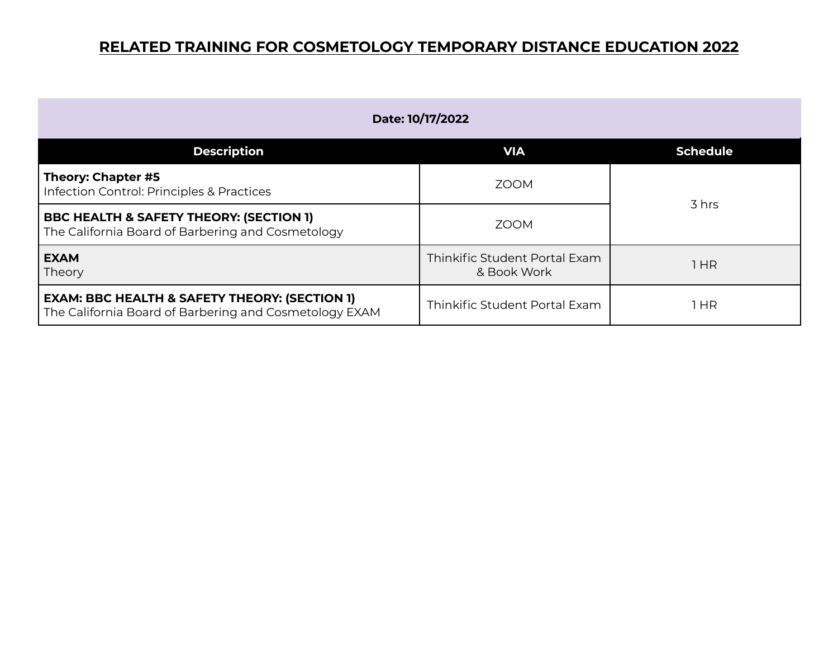| Date: 10/17/2022                                                                                                   |                                              |                 |
|--------------------------------------------------------------------------------------------------------------------|----------------------------------------------|-----------------|
| <b>Description</b>                                                                                                 | <b>VIA</b>                                   | <b>Schedule</b> |
| Theory: Chapter #5<br>Infection Control: Principles & Practices                                                    | <b>ZOOM</b>                                  |                 |
| <b>BBC HEALTH &amp; SAFETY THEORY: (SECTION 1)</b><br>The California Board of Barbering and Cosmetology            | ZOOM                                         | 3 hrs           |
| <b>EXAM</b><br>Theory                                                                                              | Thinkific Student Portal Exam<br>& Book Work | 1HR             |
| <b>EXAM: BBC HEALTH &amp; SAFETY THEORY: (SECTION 1)</b><br>The California Board of Barbering and Cosmetology EXAM | Thinkific Student Portal Exam                | l HR            |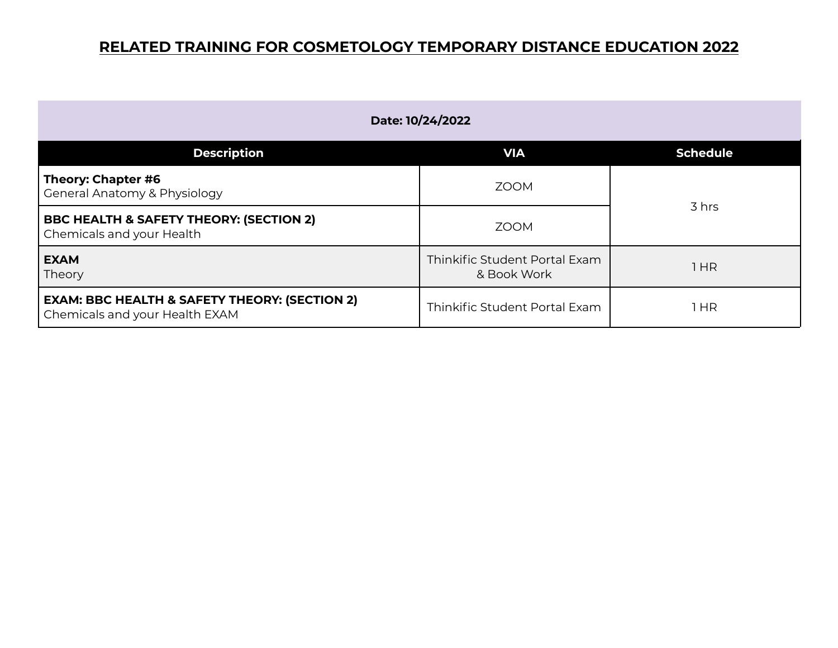| Date: 10/24/2022                                                                           |                                              |                 |
|--------------------------------------------------------------------------------------------|----------------------------------------------|-----------------|
| <b>Description</b>                                                                         | <b>VIA</b>                                   | <b>Schedule</b> |
| Theory: Chapter #6<br><b>General Anatomy &amp; Physiology</b>                              | <b>ZOOM</b>                                  | 3 hrs           |
| <b>BBC HEALTH &amp; SAFETY THEORY: (SECTION 2)</b><br>Chemicals and your Health            | <b>ZOOM</b>                                  |                 |
| <b>EXAM</b><br>Theory                                                                      | Thinkific Student Portal Exam<br>& Book Work | 1 HR            |
| <b>EXAM: BBC HEALTH &amp; SAFETY THEORY: (SECTION 2)</b><br>Chemicals and your Health EXAM | Thinkific Student Portal Exam                | 1 HR            |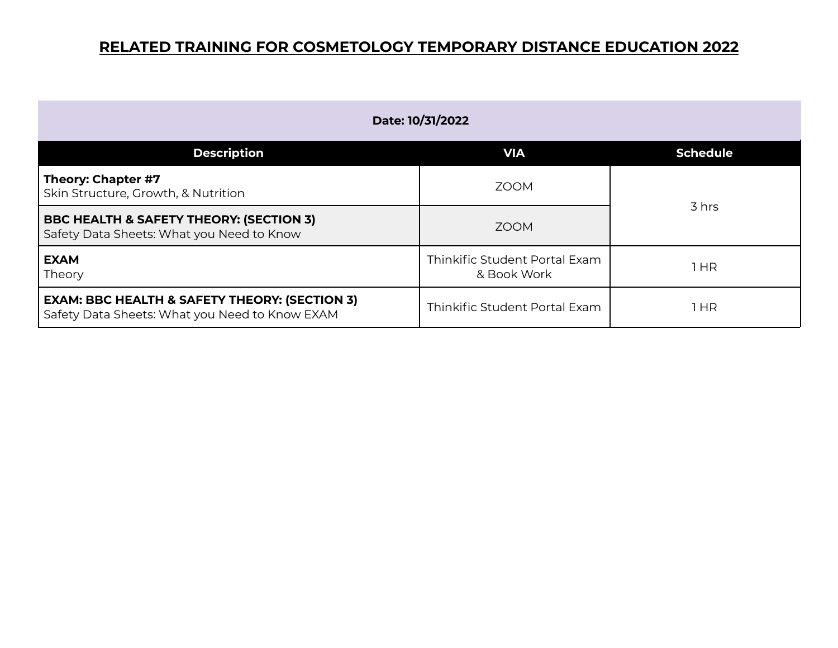| Date: 10/31/2022                                                                                           |                                              |                 |
|------------------------------------------------------------------------------------------------------------|----------------------------------------------|-----------------|
| <b>Description</b>                                                                                         | <b>VIA</b>                                   | <b>Schedule</b> |
| Theory: Chapter #7<br>Skin Structure, Growth, & Nutrition                                                  | <b>ZOOM</b>                                  | 3 hrs           |
| <b>BBC HEALTH &amp; SAFETY THEORY: (SECTION 3)</b><br>Safety Data Sheets: What you Need to Know            | <b>ZOOM</b>                                  |                 |
| <b>EXAM</b><br>Theory                                                                                      | Thinkific Student Portal Exam<br>& Book Work | 1 HR            |
| <b>EXAM: BBC HEALTH &amp; SAFETY THEORY: (SECTION 3)</b><br>Safety Data Sheets: What you Need to Know EXAM | Thinkific Student Portal Exam                | l HR            |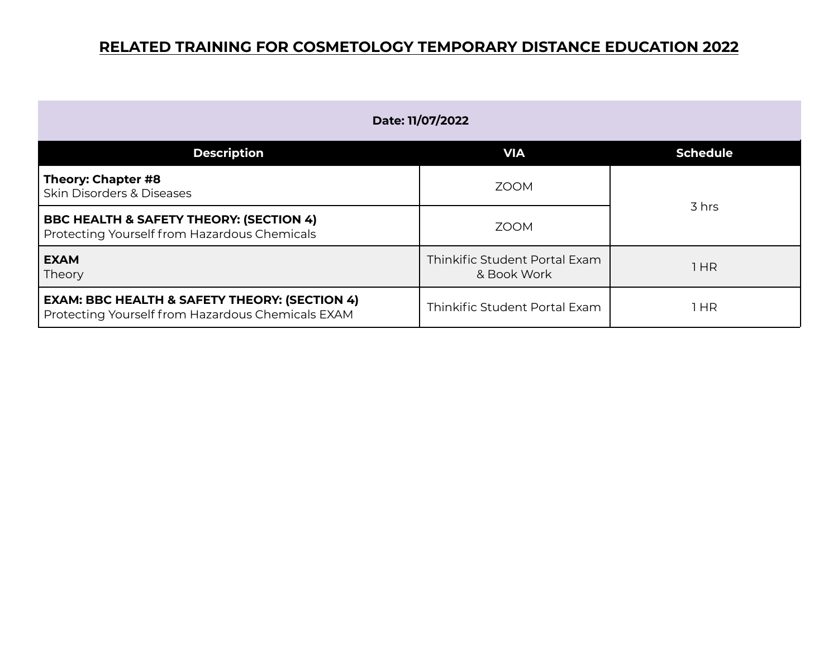| Date: 11/07/2022                                                                                              |                                              |                 |
|---------------------------------------------------------------------------------------------------------------|----------------------------------------------|-----------------|
| <b>Description</b>                                                                                            | <b>VIA</b>                                   | <b>Schedule</b> |
| Theory: Chapter #8<br><b>Skin Disorders &amp; Diseases</b>                                                    | <b>ZOOM</b>                                  | 3 hrs           |
| <b>BBC HEALTH &amp; SAFETY THEORY: (SECTION 4)</b><br>Protecting Yourself from Hazardous Chemicals            | <b>ZOOM</b>                                  |                 |
| <b>EXAM</b><br>Theory                                                                                         | Thinkific Student Portal Exam<br>& Book Work | 1HR             |
| <b>EXAM: BBC HEALTH &amp; SAFETY THEORY: (SECTION 4)</b><br>Protecting Yourself from Hazardous Chemicals EXAM | Thinkific Student Portal Exam                | 1 HR            |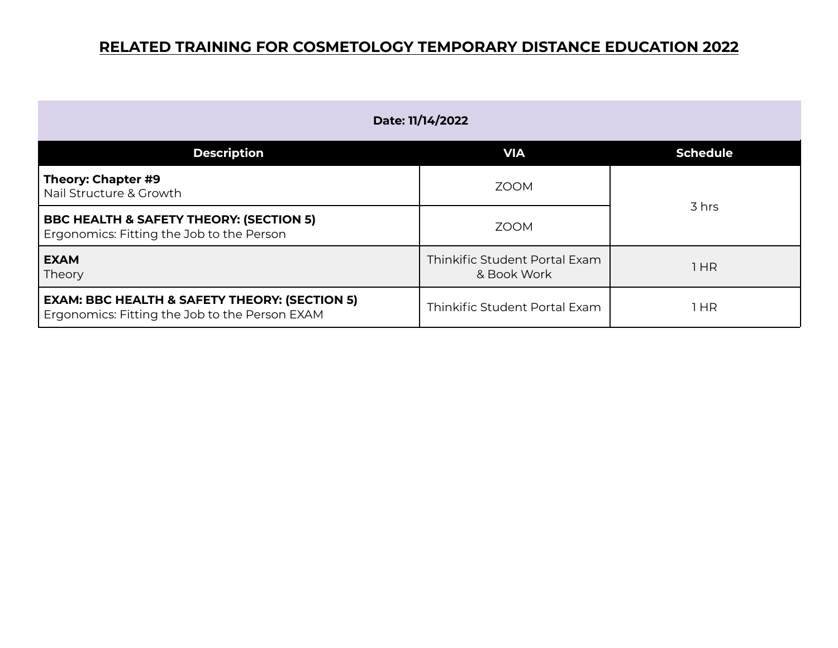| Date: 11/14/2022                                                                                           |                                              |                 |
|------------------------------------------------------------------------------------------------------------|----------------------------------------------|-----------------|
| <b>Description</b>                                                                                         | <b>VIA</b>                                   | <b>Schedule</b> |
| Theory: Chapter #9<br>Nail Structure & Growth                                                              | <b>ZOOM</b>                                  | 3 hrs           |
| <b>BBC HEALTH &amp; SAFETY THEORY: (SECTION 5)</b><br>Ergonomics: Fitting the Job to the Person            | <b>ZOOM</b>                                  |                 |
| <b>EXAM</b><br>Theory                                                                                      | Thinkific Student Portal Exam<br>& Book Work | 1 HR            |
| <b>EXAM: BBC HEALTH &amp; SAFETY THEORY: (SECTION 5)</b><br>Ergonomics: Fitting the Job to the Person EXAM | Thinkific Student Portal Exam                | 1 HR            |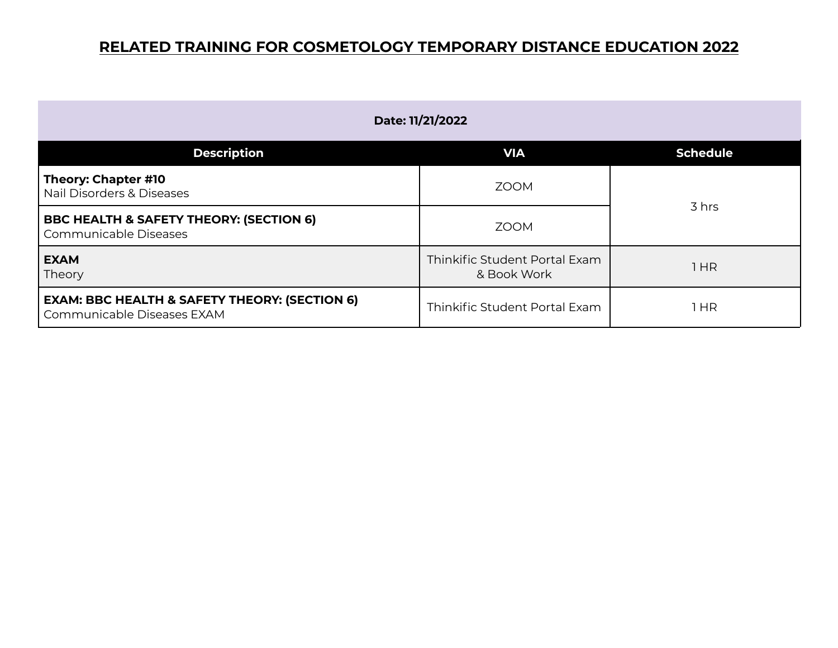| Date: 11/21/2022                                                                       |                                              |                 |
|----------------------------------------------------------------------------------------|----------------------------------------------|-----------------|
| <b>Description</b>                                                                     | <b>VIA</b>                                   | <b>Schedule</b> |
| Theory: Chapter #10<br>Nail Disorders & Diseases                                       | <b>ZOOM</b>                                  | 3 hrs           |
| <b>BBC HEALTH &amp; SAFETY THEORY: (SECTION 6)</b><br>Communicable Diseases            | <b>ZOOM</b>                                  |                 |
| <b>EXAM</b><br>Theory                                                                  | Thinkific Student Portal Exam<br>& Book Work | l HR            |
| <b>EXAM: BBC HEALTH &amp; SAFETY THEORY: (SECTION 6)</b><br>Communicable Diseases EXAM | Thinkific Student Portal Exam                | $1$ HR          |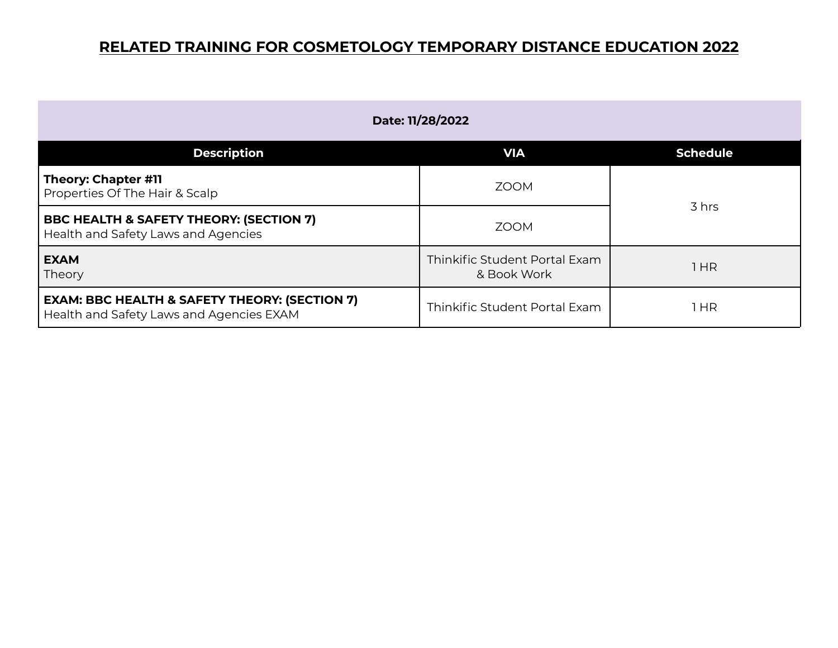| Date: 11/28/2022                                                                                     |                                              |                 |
|------------------------------------------------------------------------------------------------------|----------------------------------------------|-----------------|
| <b>Description</b>                                                                                   | <b>VIA</b>                                   | <b>Schedule</b> |
| <b>Theory: Chapter #11</b><br>Properties Of The Hair & Scalp                                         | <b>ZOOM</b>                                  | 3 hrs           |
| <b>BBC HEALTH &amp; SAFETY THEORY: (SECTION 7)</b><br>Health and Safety Laws and Agencies            | <b>ZOOM</b>                                  |                 |
| <b>EXAM</b><br>Theory                                                                                | Thinkific Student Portal Exam<br>& Book Work | l HR            |
| <b>EXAM: BBC HEALTH &amp; SAFETY THEORY: (SECTION 7)</b><br>Health and Safety Laws and Agencies EXAM | Thinkific Student Portal Exam                | 1 HR            |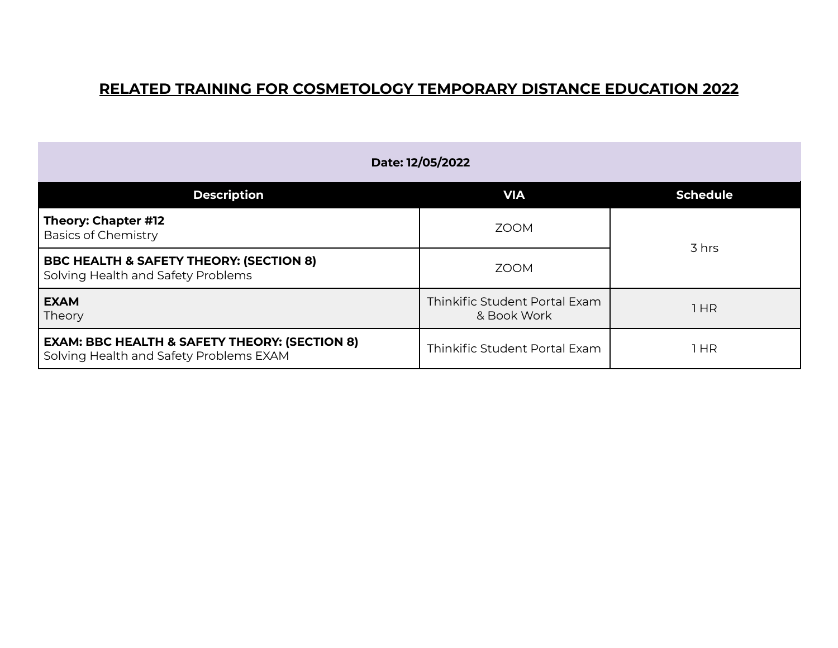| Date: 12/05/2022                                                                                    |                                              |                 |
|-----------------------------------------------------------------------------------------------------|----------------------------------------------|-----------------|
| <b>Description</b>                                                                                  | <b>VIA</b>                                   | <b>Schedule</b> |
| Theory: Chapter #12<br><b>Basics of Chemistry</b>                                                   | <b>ZOOM</b>                                  |                 |
| <b>BBC HEALTH &amp; SAFETY THEORY: (SECTION 8)</b><br>Solving Health and Safety Problems            | <b>ZOOM</b>                                  | 3 hrs           |
| <b>EXAM</b><br>Theory                                                                               | Thinkific Student Portal Exam<br>& Book Work | 1HR             |
| <b>EXAM: BBC HEALTH &amp; SAFETY THEORY: (SECTION 8)</b><br>Solving Health and Safety Problems EXAM | Thinkific Student Portal Exam                | 1 HR            |